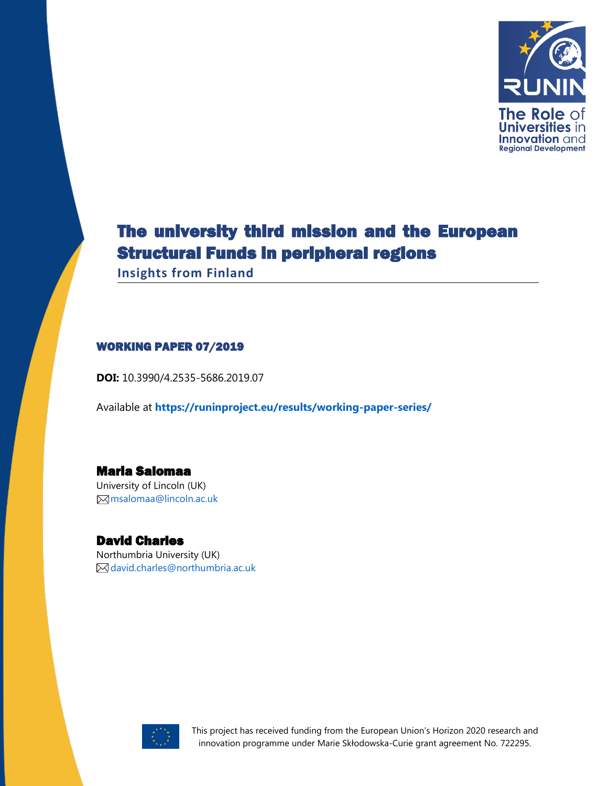

# The university third mission and the European Structural Funds in peripheral regions

**Insights from Finland**

#### WORKING PAPER 07/2019

**DOI:** 10.3990/4.2535-5686.2019.07

Available at **<https://runinproject.eu/results/working-paper-series/>**

## Maria Salomaa

University of Lincoln (UK) [msalomaa@lincoln.ac.uk](mailto:msalomaa@lincoln.ac.uk)

#### David Charles

Northumbria University (UK) [david.charles@northumbria.ac.uk](mailto:#david.charles@northumbria.ac.uk)



This project has received funding from the European Union's Horizon 2020 research and innovation programme under Marie Skłodowska-Curie grant agreement No. 722295.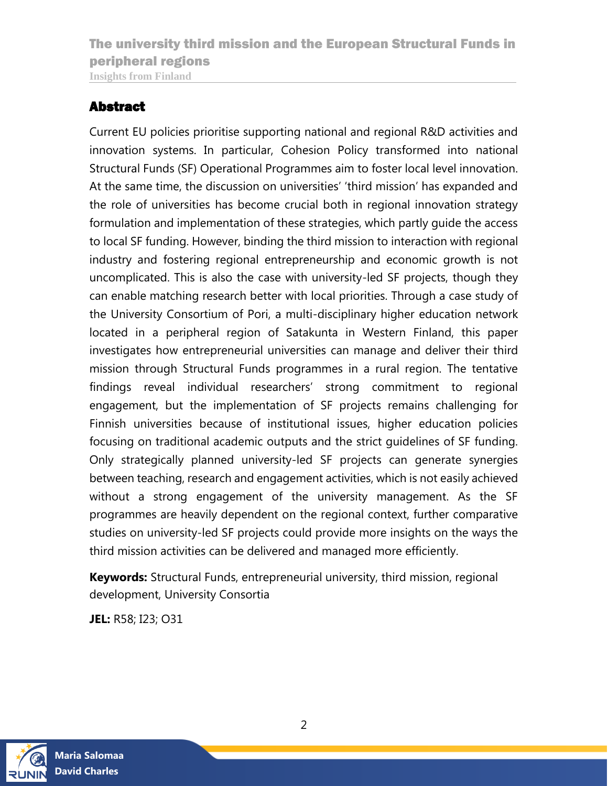### <span id="page-1-0"></span>Abstract

Current EU policies prioritise supporting national and regional R&D activities and innovation systems. In particular, Cohesion Policy transformed into national Structural Funds (SF) Operational Programmes aim to foster local level innovation. At the same time, the discussion on universities' 'third mission' has expanded and the role of universities has become crucial both in regional innovation strategy formulation and implementation of these strategies, which partly guide the access to local SF funding. However, binding the third mission to interaction with regional industry and fostering regional entrepreneurship and economic growth is not uncomplicated. This is also the case with university-led SF projects, though they can enable matching research better with local priorities. Through a case study of the University Consortium of Pori, a multi-disciplinary higher education network located in a peripheral region of Satakunta in Western Finland, this paper investigates how entrepreneurial universities can manage and deliver their third mission through Structural Funds programmes in a rural region. The tentative findings reveal individual researchers' strong commitment to regional engagement, but the implementation of SF projects remains challenging for Finnish universities because of institutional issues, higher education policies focusing on traditional academic outputs and the strict guidelines of SF funding. Only strategically planned university-led SF projects can generate synergies between teaching, research and engagement activities, which is not easily achieved without a strong engagement of the university management. As the SF programmes are heavily dependent on the regional context, further comparative studies on university-led SF projects could provide more insights on the ways the third mission activities can be delivered and managed more efficiently.

**Keywords:** Structural Funds, entrepreneurial university, third mission, regional development, University Consortia

**JEL:** R58; I23; O31

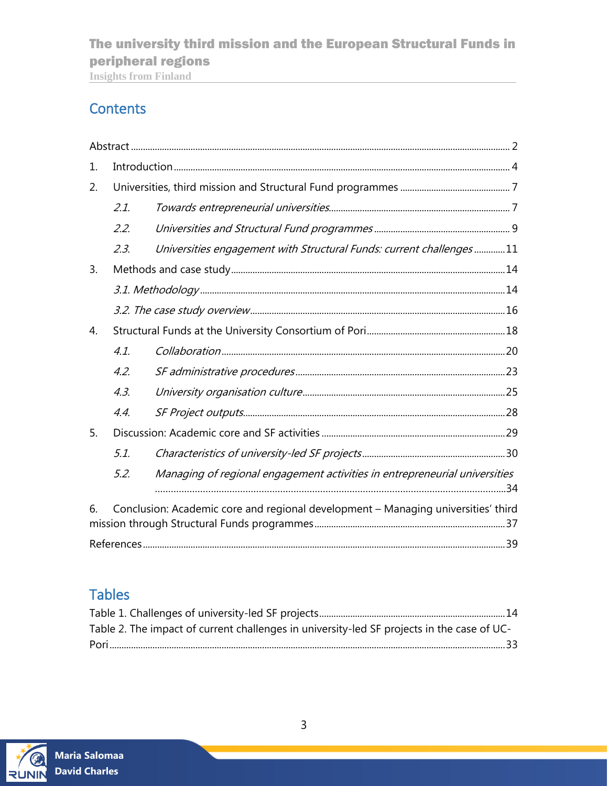## The university third mission and the European Structural Funds in peripheral regions

**Insights from Finland**

## **Contents**

| 1. |                                                                                   |                                                                            |  |  |  |  |
|----|-----------------------------------------------------------------------------------|----------------------------------------------------------------------------|--|--|--|--|
| 2. |                                                                                   |                                                                            |  |  |  |  |
|    | 2.1.                                                                              |                                                                            |  |  |  |  |
|    | 2.2.                                                                              |                                                                            |  |  |  |  |
|    | 2.3.                                                                              | Universities engagement with Structural Funds: current challenges11        |  |  |  |  |
| 3. |                                                                                   |                                                                            |  |  |  |  |
|    |                                                                                   |                                                                            |  |  |  |  |
|    |                                                                                   |                                                                            |  |  |  |  |
| 4. |                                                                                   |                                                                            |  |  |  |  |
|    | 4.1.                                                                              |                                                                            |  |  |  |  |
|    | 4.2.                                                                              |                                                                            |  |  |  |  |
|    | 4.3.                                                                              |                                                                            |  |  |  |  |
|    | 4.4.                                                                              |                                                                            |  |  |  |  |
| 5. |                                                                                   |                                                                            |  |  |  |  |
|    | 5.1.                                                                              |                                                                            |  |  |  |  |
|    | 5.2.                                                                              | Managing of regional engagement activities in entrepreneurial universities |  |  |  |  |
| 6. | Conclusion: Academic core and regional development - Managing universities' third |                                                                            |  |  |  |  |
|    |                                                                                   |                                                                            |  |  |  |  |

## Tables

| Table 2. The impact of current challenges in university-led SF projects in the case of UC- |  |
|--------------------------------------------------------------------------------------------|--|
|                                                                                            |  |

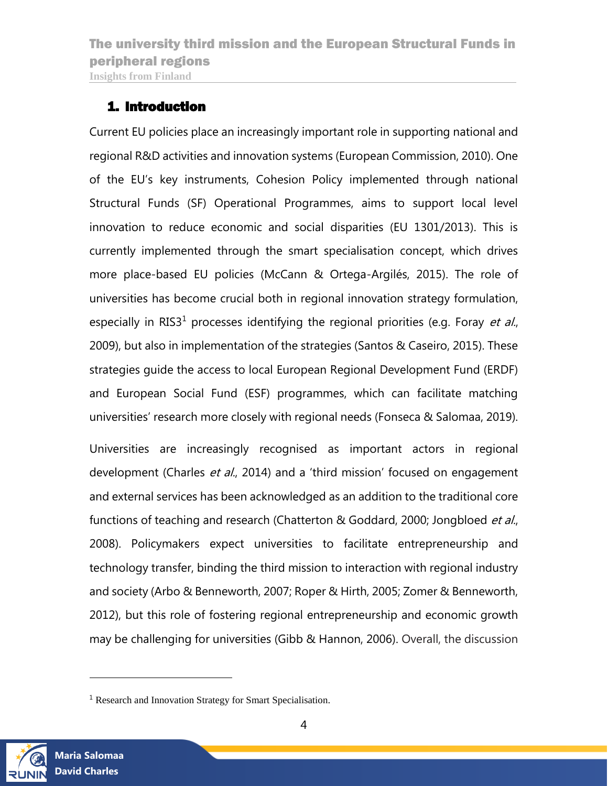### <span id="page-3-0"></span>1. Introduction

Current EU policies place an increasingly important role in supporting national and regional R&D activities and innovation systems (European Commission, 2010). One of the EU's key instruments, Cohesion Policy implemented through national Structural Funds (SF) Operational Programmes, aims to support local level innovation to reduce economic and social disparities (EU 1301/2013). This is currently implemented through the smart specialisation concept, which drives more place-based EU policies (McCann & Ortega-Argilés, 2015). The role of universities has become crucial both in regional innovation strategy formulation, especially in RIS3<sup>1</sup> processes identifying the regional priorities (e.g. Foray *et al.*, 2009), but also in implementation of the strategies (Santos & Caseiro, 2015). These strategies guide the access to local European Regional Development Fund (ERDF) and European Social Fund (ESF) programmes, which can facilitate matching universities' research more closely with regional needs (Fonseca & Salomaa, 2019).

Universities are increasingly recognised as important actors in regional development (Charles et al., 2014) and a 'third mission' focused on engagement and external services has been acknowledged as an addition to the traditional core functions of teaching and research (Chatterton & Goddard, 2000; Jongbloed et al., 2008). Policymakers expect universities to facilitate entrepreneurship and technology transfer, binding the third mission to interaction with regional industry and society (Arbo & Benneworth, 2007; Roper & Hirth, 2005; Zomer & Benneworth, 2012), but this role of fostering regional entrepreneurship and economic growth may be challenging for universities (Gibb & Hannon, 2006). Overall, the discussion



l

<sup>&</sup>lt;sup>1</sup> Research and Innovation Strategy for Smart Specialisation.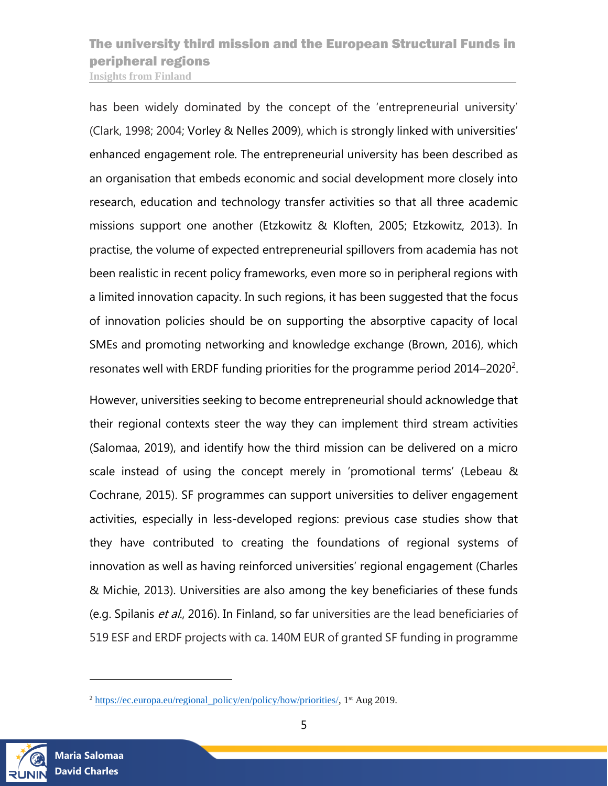has been widely dominated by the concept of the 'entrepreneurial university' (Clark, 1998; 2004; Vorley & Nelles 2009), which is strongly linked with universities' enhanced engagement role. The entrepreneurial university has been described as an organisation that embeds economic and social development more closely into research, education and technology transfer activities so that all three academic missions support one another (Etzkowitz & Kloften, 2005; Etzkowitz, 2013). In practise, the volume of expected entrepreneurial spillovers from academia has not been realistic in recent policy frameworks, even more so in peripheral regions with a limited innovation capacity. In such regions, it has been suggested that the focus of innovation policies should be on supporting the absorptive capacity of local SMEs and promoting networking and knowledge exchange (Brown, 2016), which resonates well with ERDF funding priorities for the programme period  $2014-2020^2$ .

However, universities seeking to become entrepreneurial should acknowledge that their regional contexts steer the way they can implement third stream activities (Salomaa, 2019), and identify how the third mission can be delivered on a micro scale instead of using the concept merely in 'promotional terms' (Lebeau & Cochrane, 2015). SF programmes can support universities to deliver engagement activities, especially in less-developed regions: previous case studies show that they have contributed to creating the foundations of regional systems of innovation as well as having reinforced universities' regional engagement (Charles & Michie, 2013). Universities are also among the key beneficiaries of these funds (e.g. Spilanis et al., 2016). In Finland, so far universities are the lead beneficiaries of 519 ESF and ERDF projects with ca. 140M EUR of granted SF funding in programme



 $\overline{a}$ 

 $2 \text{ https://ec.europa.eu/regional-policy/en/policy/how/ priorities/}, 1 \text{st Aug } 2019.$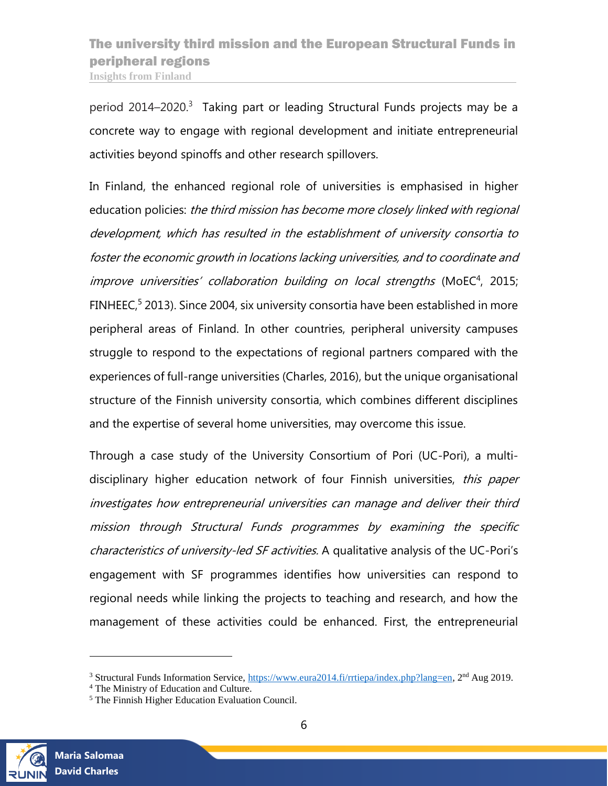period 2014–2020.<sup>3</sup> Taking part or leading Structural Funds projects may be a concrete way to engage with regional development and initiate entrepreneurial activities beyond spinoffs and other research spillovers.

In Finland, the enhanced regional role of universities is emphasised in higher education policies: the third mission has become more closely linked with regional development, which has resulted in the establishment of university consortia to foster the economic growth in locations lacking universities, and to coordinate and improve universities' collaboration building on local strengths (MoEC<sup>4</sup>, 2015; FINHEEC,<sup>5</sup> 2013). Since 2004, six university consortia have been established in more peripheral areas of Finland. In other countries, peripheral university campuses struggle to respond to the expectations of regional partners compared with the experiences of full-range universities (Charles, 2016), but the unique organisational structure of the Finnish university consortia, which combines different disciplines and the expertise of several home universities, may overcome this issue.

Through a case study of the University Consortium of Pori (UC-Pori), a multidisciplinary higher education network of four Finnish universities, this paper investigates how entrepreneurial universities can manage and deliver their third mission through Structural Funds programmes by examining the specific characteristics of university-led SF activities. A qualitative analysis of the UC-Pori's engagement with SF programmes identifies how universities can respond to regional needs while linking the projects to teaching and research, and how the management of these activities could be enhanced. First, the entrepreneurial



l

<sup>&</sup>lt;sup>3</sup> Structural Funds Information Service, [https://www.eura2014.fi/rrtiepa/index.php?lang=en,](https://www.eura2014.fi/rrtiepa/index.php?lang=en) 2<sup>nd</sup> Aug 2019.

<sup>4</sup> The Ministry of Education and Culture.

<sup>5</sup> The Finnish Higher Education Evaluation Council.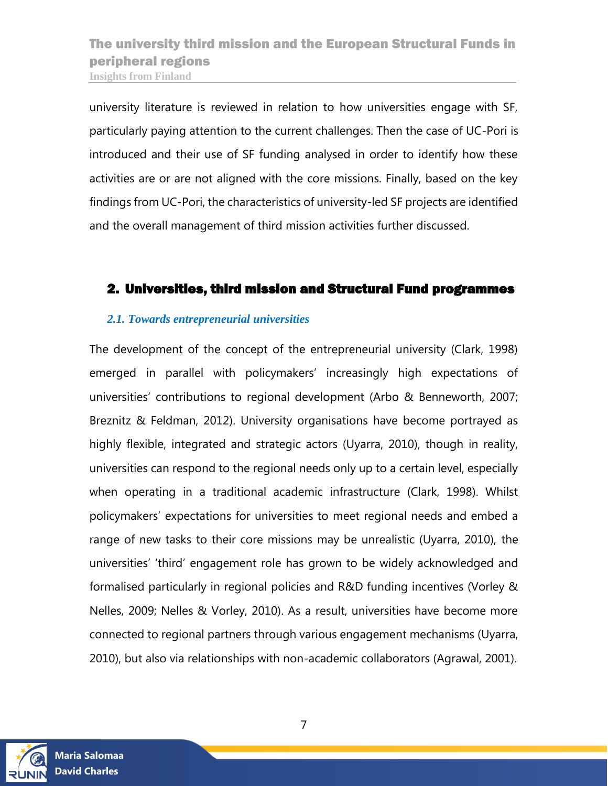university literature is reviewed in relation to how universities engage with SF, particularly paying attention to the current challenges. Then the case of UC-Pori is introduced and their use of SF funding analysed in order to identify how these activities are or are not aligned with the core missions. Finally, based on the key findings from UC-Pori, the characteristics of university-led SF projects are identified and the overall management of third mission activities further discussed.

#### <span id="page-6-0"></span>2. Universities, third mission and Structural Fund programmes

#### <span id="page-6-1"></span>*2.1. Towards entrepreneurial universities*

The development of the concept of the entrepreneurial university (Clark, 1998) emerged in parallel with policymakers' increasingly high expectations of universities' contributions to regional development (Arbo & Benneworth, 2007; Breznitz & Feldman, 2012). University organisations have become portrayed as highly flexible, integrated and strategic actors (Uyarra, 2010), though in reality, universities can respond to the regional needs only up to a certain level, especially when operating in a traditional academic infrastructure (Clark, 1998). Whilst policymakers' expectations for universities to meet regional needs and embed a range of new tasks to their core missions may be unrealistic (Uyarra, 2010), the universities' 'third' engagement role has grown to be widely acknowledged and formalised particularly in regional policies and R&D funding incentives (Vorley & Nelles, 2009; Nelles & Vorley, 2010). As a result, universities have become more connected to regional partners through various engagement mechanisms (Uyarra, 2010), but also via relationships with non-academic collaborators (Agrawal, 2001).

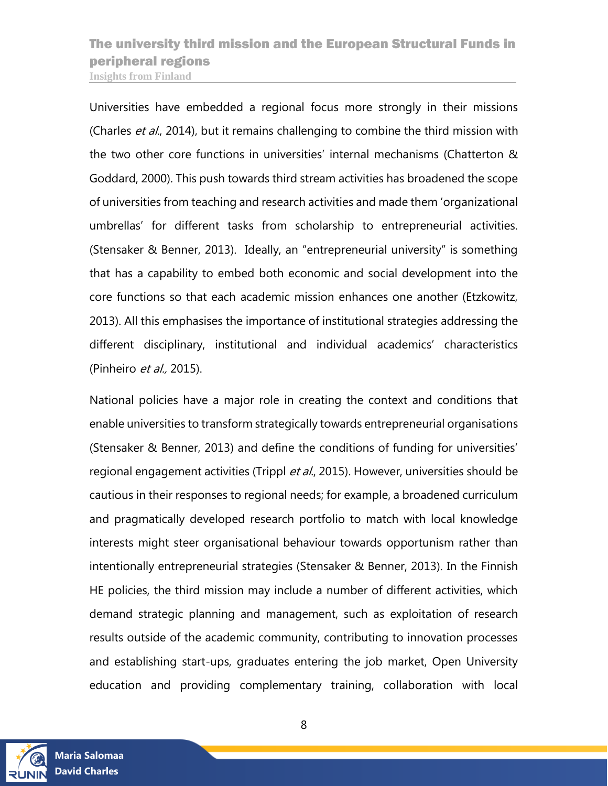Universities have embedded a regional focus more strongly in their missions (Charles et al., 2014), but it remains challenging to combine the third mission with the two other core functions in universities' internal mechanisms (Chatterton & Goddard, 2000). This push towards third stream activities has broadened the scope of universities from teaching and research activities and made them 'organizational umbrellas' for different tasks from scholarship to entrepreneurial activities. (Stensaker & Benner, 2013). Ideally, an "entrepreneurial university" is something that has a capability to embed both economic and social development into the core functions so that each academic mission enhances one another (Etzkowitz, 2013). All this emphasises the importance of institutional strategies addressing the different disciplinary, institutional and individual academics' characteristics (Pinheiro et al., 2015).

National policies have a major role in creating the context and conditions that enable universities to transform strategically towards entrepreneurial organisations (Stensaker & Benner, 2013) and define the conditions of funding for universities' regional engagement activities (Trippl et al., 2015). However, universities should be cautious in their responses to regional needs; for example, a broadened curriculum and pragmatically developed research portfolio to match with local knowledge interests might steer organisational behaviour towards opportunism rather than intentionally entrepreneurial strategies (Stensaker & Benner, 2013). In the Finnish HE policies, the third mission may include a number of different activities, which demand strategic planning and management, such as exploitation of research results outside of the academic community, contributing to innovation processes and establishing start-ups, graduates entering the job market, Open University education and providing complementary training, collaboration with local

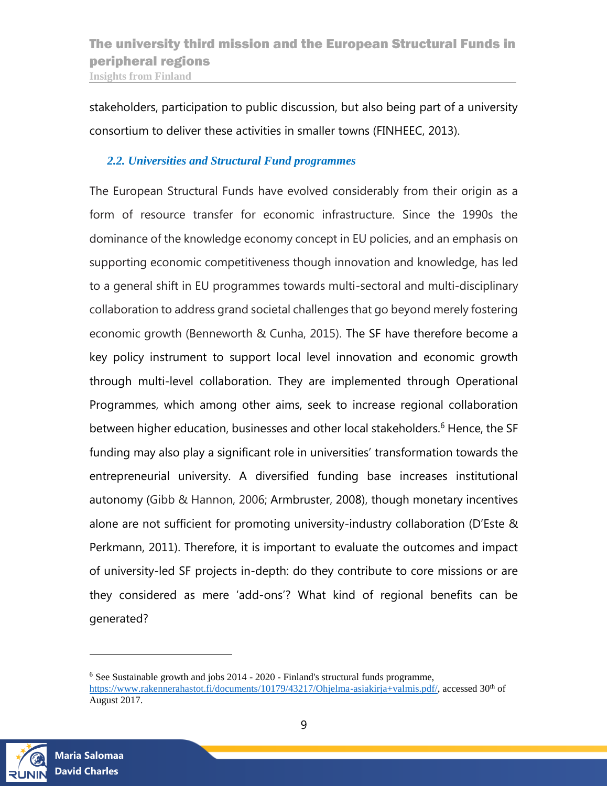stakeholders, participation to public discussion, but also being part of a university consortium to deliver these activities in smaller towns (FINHEEC, 2013).

#### <span id="page-8-0"></span>*2.2. Universities and Structural Fund programmes*

The European Structural Funds have evolved considerably from their origin as a form of resource transfer for economic infrastructure. Since the 1990s the dominance of the knowledge economy concept in EU policies, and an emphasis on supporting economic competitiveness though innovation and knowledge, has led to a general shift in EU programmes towards multi-sectoral and multi-disciplinary collaboration to address grand societal challenges that go beyond merely fostering economic growth (Benneworth & Cunha, 2015). The SF have therefore become a key policy instrument to support local level innovation and economic growth through multi-level collaboration. They are implemented through Operational Programmes, which among other aims, seek to increase regional collaboration between higher education, businesses and other local stakeholders.<sup>6</sup> Hence, the SF funding may also play a significant role in universities' transformation towards the entrepreneurial university. A diversified funding base increases institutional autonomy (Gibb & Hannon, 2006; Armbruster, 2008), though monetary incentives alone are not sufficient for promoting university-industry collaboration (D'Este & Perkmann, 2011). Therefore, it is important to evaluate the outcomes and impact of university-led SF projects in-depth: do they contribute to core missions or are they considered as mere 'add-ons'? What kind of regional benefits can be generated?



l

<sup>&</sup>lt;sup>6</sup> See Sustainable growth and jobs 2014 - 2020 - Finland's structural funds programme, [https://www.rakennerahastot.fi/documents/10179/43217/Ohjelma-asiakirja+valmis.pdf/,](https://www.rakennerahastot.fi/documents/10179/43217/Ohjelma-asiakirja+valmis.pdf/) accessed 30<sup>th</sup> of August 2017.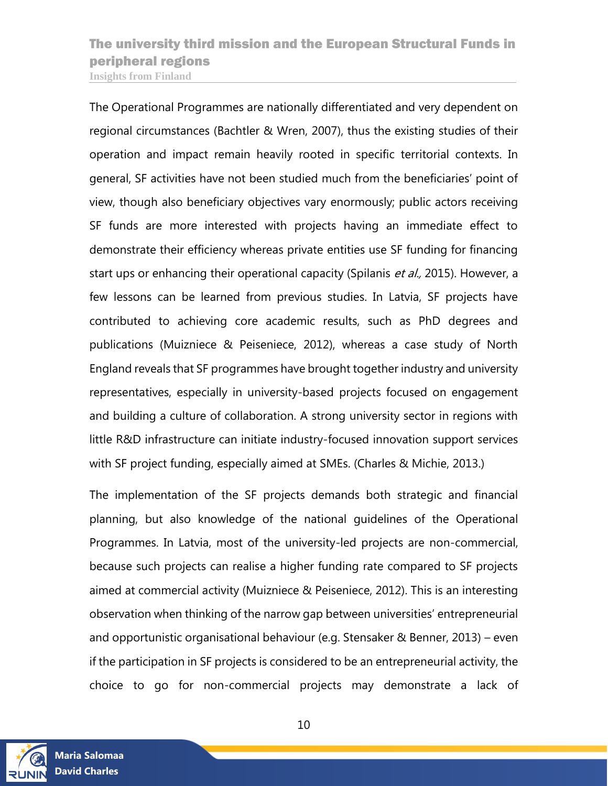The Operational Programmes are nationally differentiated and very dependent on regional circumstances (Bachtler & Wren, 2007), thus the existing studies of their operation and impact remain heavily rooted in specific territorial contexts. In general, SF activities have not been studied much from the beneficiaries' point of view, though also beneficiary objectives vary enormously; public actors receiving SF funds are more interested with projects having an immediate effect to demonstrate their efficiency whereas private entities use SF funding for financing start ups or enhancing their operational capacity (Spilanis et al., 2015). However, a few lessons can be learned from previous studies. In Latvia, SF projects have contributed to achieving core academic results, such as PhD degrees and publications (Muizniece & Peiseniece, 2012), whereas a case study of North England reveals that SF programmes have brought together industry and university representatives, especially in university-based projects focused on engagement and building a culture of collaboration. A strong university sector in regions with little R&D infrastructure can initiate industry-focused innovation support services with SF project funding, especially aimed at SMEs. (Charles & Michie, 2013.)

The implementation of the SF projects demands both strategic and financial planning, but also knowledge of the national guidelines of the Operational Programmes. In Latvia, most of the university-led projects are non-commercial, because such projects can realise a higher funding rate compared to SF projects aimed at commercial activity (Muizniece & Peiseniece, 2012). This is an interesting observation when thinking of the narrow gap between universities' entrepreneurial and opportunistic organisational behaviour (e.g. Stensaker & Benner, 2013) – even if the participation in SF projects is considered to be an entrepreneurial activity, the choice to go for non-commercial projects may demonstrate a lack of

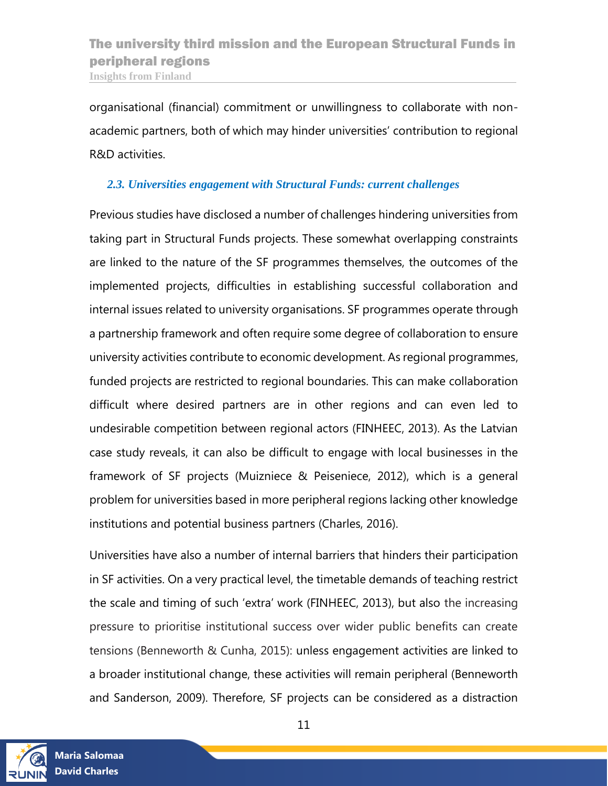organisational (financial) commitment or unwillingness to collaborate with nonacademic partners, both of which may hinder universities' contribution to regional R&D activities.

#### <span id="page-10-0"></span>*2.3. Universities engagement with Structural Funds: current challenges*

Previous studies have disclosed a number of challenges hindering universities from taking part in Structural Funds projects. These somewhat overlapping constraints are linked to the nature of the SF programmes themselves, the outcomes of the implemented projects, difficulties in establishing successful collaboration and internal issues related to university organisations. SF programmes operate through a partnership framework and often require some degree of collaboration to ensure university activities contribute to economic development. As regional programmes, funded projects are restricted to regional boundaries. This can make collaboration difficult where desired partners are in other regions and can even led to undesirable competition between regional actors (FINHEEC, 2013). As the Latvian case study reveals, it can also be difficult to engage with local businesses in the framework of SF projects (Muizniece & Peiseniece, 2012), which is a general problem for universities based in more peripheral regions lacking other knowledge institutions and potential business partners (Charles, 2016).

Universities have also a number of internal barriers that hinders their participation in SF activities. On a very practical level, the timetable demands of teaching restrict the scale and timing of such 'extra' work (FINHEEC, 2013), but also the increasing pressure to prioritise institutional success over wider public benefits can create tensions (Benneworth & Cunha, 2015): unless engagement activities are linked to a broader institutional change, these activities will remain peripheral (Benneworth and Sanderson, 2009). Therefore, SF projects can be considered as a distraction

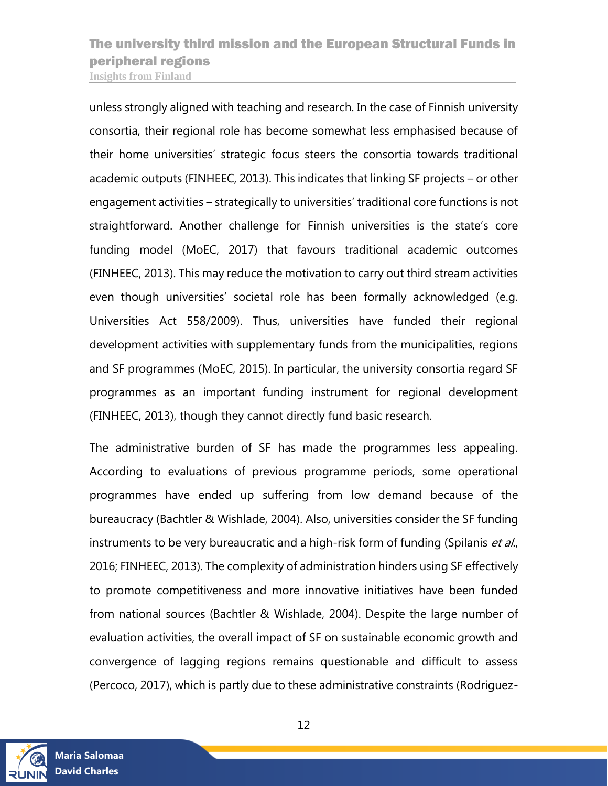unless strongly aligned with teaching and research. In the case of Finnish university consortia, their regional role has become somewhat less emphasised because of their home universities' strategic focus steers the consortia towards traditional academic outputs (FINHEEC, 2013). This indicates that linking SF projects – or other engagement activities – strategically to universities' traditional core functions is not straightforward. Another challenge for Finnish universities is the state's core funding model (MoEC, 2017) that favours traditional academic outcomes (FINHEEC, 2013). This may reduce the motivation to carry out third stream activities even though universities' societal role has been formally acknowledged (e.g. Universities Act 558/2009). Thus, universities have funded their regional development activities with supplementary funds from the municipalities, regions and SF programmes (MoEC, 2015). In particular, the university consortia regard SF programmes as an important funding instrument for regional development (FINHEEC, 2013), though they cannot directly fund basic research.

The administrative burden of SF has made the programmes less appealing. According to evaluations of previous programme periods, some operational programmes have ended up suffering from low demand because of the bureaucracy (Bachtler & Wishlade, 2004). Also, universities consider the SF funding instruments to be very bureaucratic and a high-risk form of funding (Spilanis et al., 2016; FINHEEC, 2013). The complexity of administration hinders using SF effectively to promote competitiveness and more innovative initiatives have been funded from national sources (Bachtler & Wishlade, 2004). Despite the large number of evaluation activities, the overall impact of SF on sustainable economic growth and convergence of lagging regions remains questionable and difficult to assess (Percoco, 2017), which is partly due to these administrative constraints (Rodriguez-



12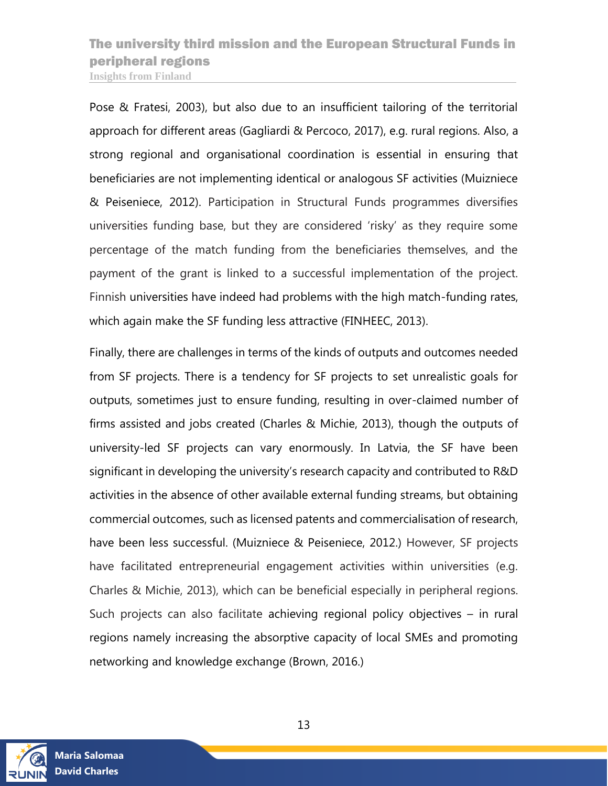Pose & Fratesi, 2003), but also due to an insufficient tailoring of the territorial approach for different areas (Gagliardi & Percoco, 2017), e.g. rural regions. Also, a strong regional and organisational coordination is essential in ensuring that beneficiaries are not implementing identical or analogous SF activities (Muizniece & Peiseniece, 2012). Participation in Structural Funds programmes diversifies universities funding base, but they are considered 'risky' as they require some percentage of the match funding from the beneficiaries themselves, and the payment of the grant is linked to a successful implementation of the project. Finnish universities have indeed had problems with the high match-funding rates, which again make the SF funding less attractive (FINHEEC, 2013).

Finally, there are challenges in terms of the kinds of outputs and outcomes needed from SF projects. There is a tendency for SF projects to set unrealistic goals for outputs, sometimes just to ensure funding, resulting in over-claimed number of firms assisted and jobs created (Charles & Michie, 2013), though the outputs of university-led SF projects can vary enormously. In Latvia, the SF have been significant in developing the university's research capacity and contributed to R&D activities in the absence of other available external funding streams, but obtaining commercial outcomes, such as licensed patents and commercialisation of research, have been less successful. (Muizniece & Peiseniece, 2012.) However, SF projects have facilitated entrepreneurial engagement activities within universities (e.g. Charles & Michie, 2013), which can be beneficial especially in peripheral regions. Such projects can also facilitate achieving regional policy objectives – in rural regions namely increasing the absorptive capacity of local SMEs and promoting networking and knowledge exchange (Brown, 2016.)

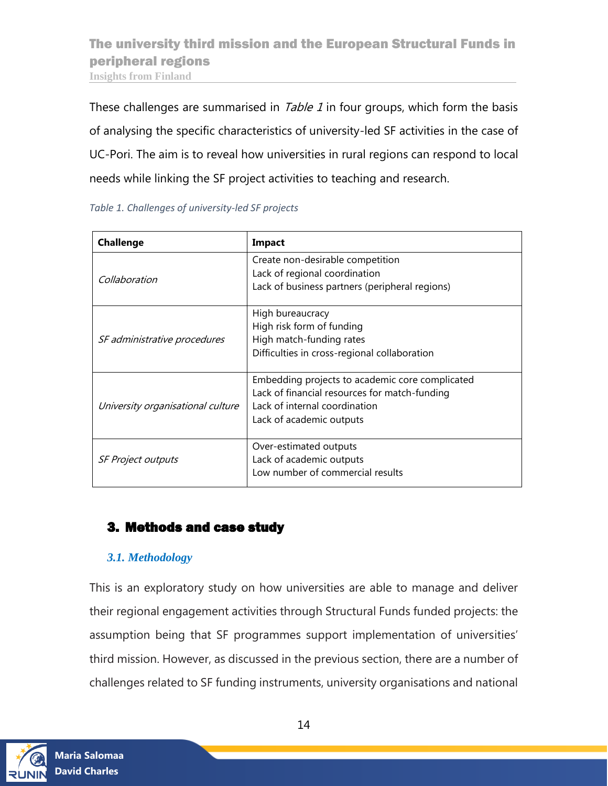These challenges are summarised in *Table 1* in four groups, which form the basis of analysing the specific characteristics of university-led SF activities in the case of UC-Pori. The aim is to reveal how universities in rural regions can respond to local needs while linking the SF project activities to teaching and research.

| <b>Challenge</b>                  | Impact                                                            |  |
|-----------------------------------|-------------------------------------------------------------------|--|
| Collaboration                     | Create non-desirable competition<br>Lack of regional coordination |  |
|                                   | Lack of business partners (peripheral regions)                    |  |
|                                   | High bureaucracy                                                  |  |
|                                   | High risk form of funding                                         |  |
| SF administrative procedures      | High match-funding rates                                          |  |
|                                   | Difficulties in cross-regional collaboration                      |  |
|                                   | Embedding projects to academic core complicated                   |  |
|                                   | Lack of financial resources for match-funding                     |  |
| University organisational culture | Lack of internal coordination                                     |  |
|                                   | Lack of academic outputs                                          |  |
|                                   |                                                                   |  |
|                                   | Over-estimated outputs                                            |  |
| <b>SF Project outputs</b>         | Lack of academic outputs                                          |  |
|                                   | Low number of commercial results                                  |  |

<span id="page-13-2"></span>*Table 1. Challenges of university-led SF projects*

## <span id="page-13-0"></span>3. Methods and case study

### <span id="page-13-1"></span>*3.1. Methodology*

This is an exploratory study on how universities are able to manage and deliver their regional engagement activities through Structural Funds funded projects: the assumption being that SF programmes support implementation of universities' third mission. However, as discussed in the previous section, there are a number of challenges related to SF funding instruments, university organisations and national

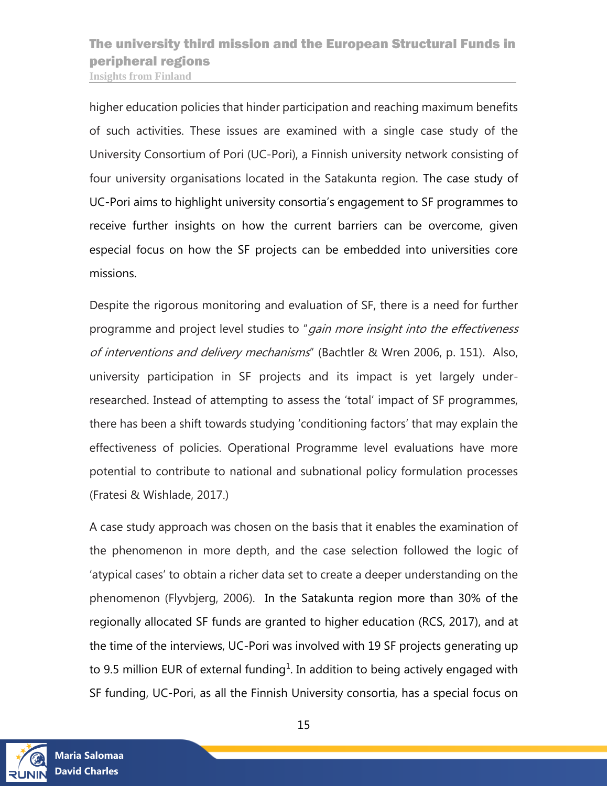higher education policies that hinder participation and reaching maximum benefits of such activities. These issues are examined with a single case study of the University Consortium of Pori (UC-Pori), a Finnish university network consisting of four university organisations located in the Satakunta region. The case study of UC-Pori aims to highlight university consortia's engagement to SF programmes to receive further insights on how the current barriers can be overcome, given especial focus on how the SF projects can be embedded into universities core missions.

Despite the rigorous monitoring and evaluation of SF, there is a need for further programme and project level studies to "gain more insight into the effectiveness of interventions and delivery mechanisms" (Bachtler & Wren 2006, p. 151). Also, university participation in SF projects and its impact is yet largely underresearched. Instead of attempting to assess the 'total' impact of SF programmes, there has been a shift towards studying 'conditioning factors' that may explain the effectiveness of policies. Operational Programme level evaluations have more potential to contribute to national and subnational policy formulation processes (Fratesi & Wishlade, 2017.)

A case study approach was chosen on the basis that it enables the examination of the phenomenon in more depth, and the case selection followed the logic of 'atypical cases' to obtain a richer data set to create a deeper understanding on the phenomenon (Flyvbjerg, 2006). In the Satakunta region more than 30% of the regionally allocated SF funds are granted to higher education (RCS, 2017), and at the time of the interviews, UC-Pori was involved with 19 SF projects generating up to 9.5 million EUR of external funding<sup>1</sup>. In addition to being actively engaged with SF funding, UC-Pori, as all the Finnish University consortia, has a special focus on

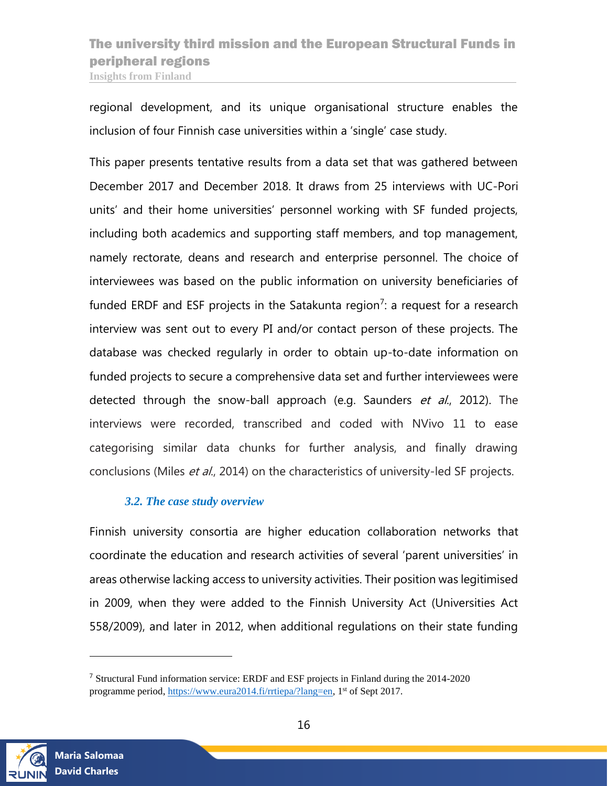regional development, and its unique organisational structure enables the inclusion of four Finnish case universities within a 'single' case study.

This paper presents tentative results from a data set that was gathered between December 2017 and December 2018. It draws from 25 interviews with UC-Pori units' and their home universities' personnel working with SF funded projects, including both academics and supporting staff members, and top management, namely rectorate, deans and research and enterprise personnel. The choice of interviewees was based on the public information on university beneficiaries of funded ERDF and ESF projects in the Satakunta region<sup>7</sup>: a request for a research interview was sent out to every PI and/or contact person of these projects. The database was checked regularly in order to obtain up-to-date information on funded projects to secure a comprehensive data set and further interviewees were detected through the snow-ball approach (e.g. Saunders et al., 2012). The interviews were recorded, transcribed and coded with NVivo 11 to ease categorising similar data chunks for further analysis, and finally drawing conclusions (Miles et al., 2014) on the characteristics of university-led SF projects.

#### *3.2. The case study overview*

<span id="page-15-0"></span>Finnish university consortia are higher education collaboration networks that coordinate the education and research activities of several 'parent universities' in areas otherwise lacking access to university activities. Their position was legitimised in 2009, when they were added to the Finnish University Act (Universities Act 558/2009), and later in 2012, when additional regulations on their state funding



 $\overline{a}$ 

<sup>7</sup> Structural Fund information service: ERDF and ESF projects in Finland during the 2014-2020 programme period, [https://www.eura2014.fi/rrtiepa/?lang=en,](https://www.eura2014.fi/rrtiepa/?lang=en) 1<sup>st</sup> of Sept 2017.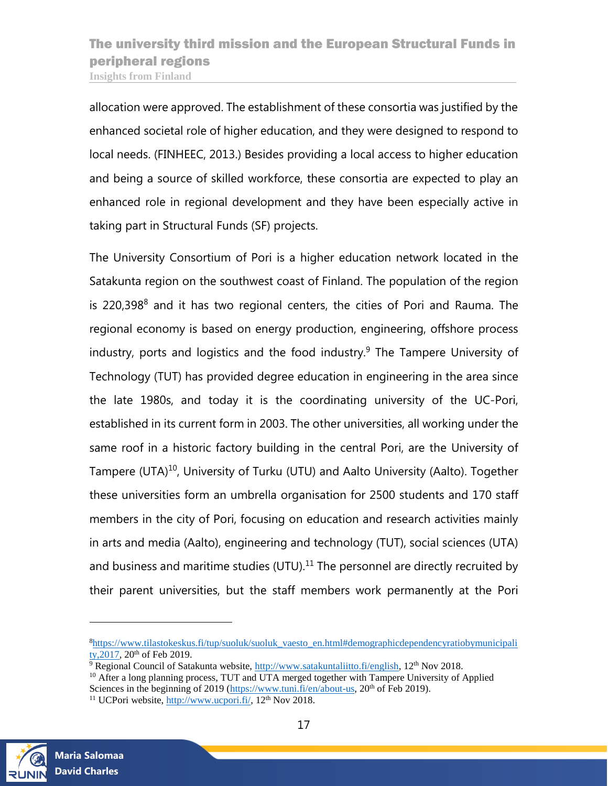allocation were approved. The establishment of these consortia was justified by the enhanced societal role of higher education, and they were designed to respond to local needs. (FINHEEC, 2013.) Besides providing a local access to higher education and being a source of skilled workforce, these consortia are expected to play an enhanced role in regional development and they have been especially active in taking part in Structural Funds (SF) projects.

The University Consortium of Pori is a higher education network located in the Satakunta region on the southwest coast of Finland. The population of the region is 220,398<sup>8</sup> and it has two regional centers, the cities of Pori and Rauma. The regional economy is based on energy production, engineering, offshore process industry, ports and logistics and the food industry. $9$  The Tampere University of Technology (TUT) has provided degree education in engineering in the area since the late 1980s, and today it is the coordinating university of the UC-Pori, established in its current form in 2003. The other universities, all working under the same roof in a historic factory building in the central Pori, are the University of Tampere (UTA)<sup>10</sup>, University of Turku (UTU) and Aalto University (Aalto). Together these universities form an umbrella organisation for 2500 students and 170 staff members in the city of Pori, focusing on education and research activities mainly in arts and media (Aalto), engineering and technology (TUT), social sciences (UTA) and business and maritime studies (UTU). $11$  The personnel are directly recruited by their parent universities, but the staff members work permanently at the Pori



l

<sup>8</sup>[https://www.tilastokeskus.fi/tup/suoluk/suoluk\\_vaesto\\_en.html#demographicdependencyratiobymunicipali](https://www.tilastokeskus.fi/tup/suoluk/suoluk_vaesto_en.html#demographicdependencyratiobymunicipality,2017) ty,  $2017$ ,  $20<sup>th</sup>$  of Feb 2019.

 $9 \overline{Regional}$  Council of Satakunta website, [http://www.satakuntaliitto.fi/english,](http://www.satakuntaliitto.fi/english) 12<sup>th</sup> Nov 2018.

<sup>&</sup>lt;sup>10</sup> After a long planning process, TUT and UTA merged together with Tampere University of Applied Sciences in the beginning of 2019 [\(https://www.tuni.fi/en/about-us,](https://www.tuni.fi/en/about-us) 20<sup>th</sup> of Feb 2019).

<sup>&</sup>lt;sup>11</sup> UCPori website, [http://www.ucpori.fi/,](http://www.ucpori.fi/)  $12<sup>th</sup>$  Nov 2018.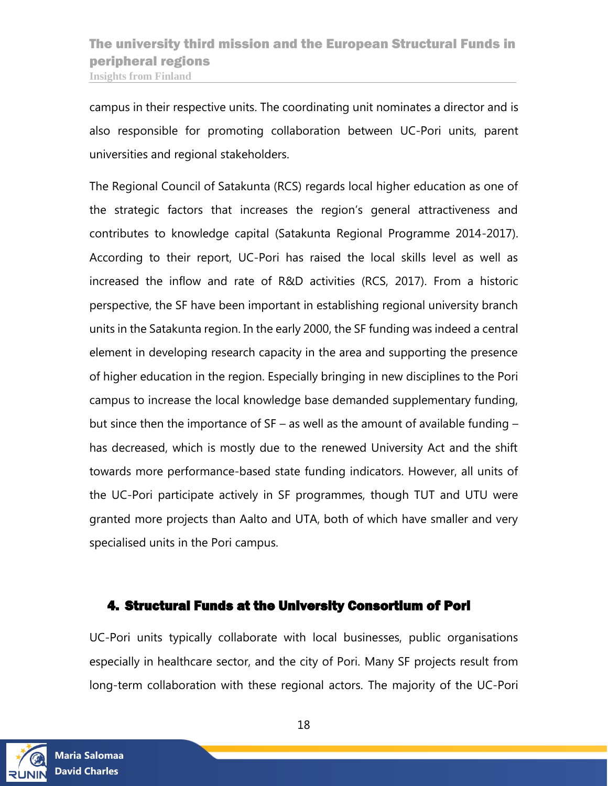campus in their respective units. The coordinating unit nominates a director and is also responsible for promoting collaboration between UC-Pori units, parent universities and regional stakeholders.

The Regional Council of Satakunta (RCS) regards local higher education as one of the strategic factors that increases the region's general attractiveness and contributes to knowledge capital (Satakunta Regional Programme 2014-2017). According to their report, UC-Pori has raised the local skills level as well as increased the inflow and rate of R&D activities (RCS, 2017). From a historic perspective, the SF have been important in establishing regional university branch units in the Satakunta region. In the early 2000, the SF funding was indeed a central element in developing research capacity in the area and supporting the presence of higher education in the region. Especially bringing in new disciplines to the Pori campus to increase the local knowledge base demanded supplementary funding, but since then the importance of SF – as well as the amount of available funding – has decreased, which is mostly due to the renewed University Act and the shift towards more performance-based state funding indicators. However, all units of the UC-Pori participate actively in SF programmes, though TUT and UTU were granted more projects than Aalto and UTA, both of which have smaller and very specialised units in the Pori campus.

### <span id="page-17-0"></span>4. Structural Funds at the University Consortium of Pori

UC-Pori units typically collaborate with local businesses, public organisations especially in healthcare sector, and the city of Pori. Many SF projects result from long-term collaboration with these regional actors. The majority of the UC-Pori

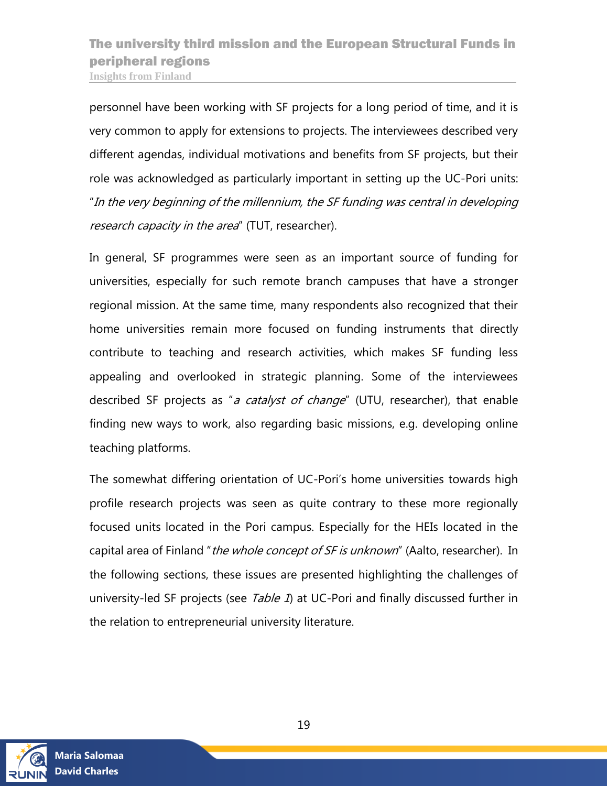personnel have been working with SF projects for a long period of time, and it is very common to apply for extensions to projects. The interviewees described very different agendas, individual motivations and benefits from SF projects, but their role was acknowledged as particularly important in setting up the UC-Pori units: "In the very beginning of the millennium, the SF funding was central in developing research capacity in the area" (TUT, researcher).

In general, SF programmes were seen as an important source of funding for universities, especially for such remote branch campuses that have a stronger regional mission. At the same time, many respondents also recognized that their home universities remain more focused on funding instruments that directly contribute to teaching and research activities, which makes SF funding less appealing and overlooked in strategic planning. Some of the interviewees described SF projects as "a catalyst of change" (UTU, researcher), that enable finding new ways to work, also regarding basic missions, e.g. developing online teaching platforms.

The somewhat differing orientation of UC-Pori's home universities towards high profile research projects was seen as quite contrary to these more regionally focused units located in the Pori campus. Especially for the HEIs located in the capital area of Finland "the whole concept of SF is unknown" (Aalto, researcher). In the following sections, these issues are presented highlighting the challenges of university-led SF projects (see Table 1) at UC-Pori and finally discussed further in the relation to entrepreneurial university literature.

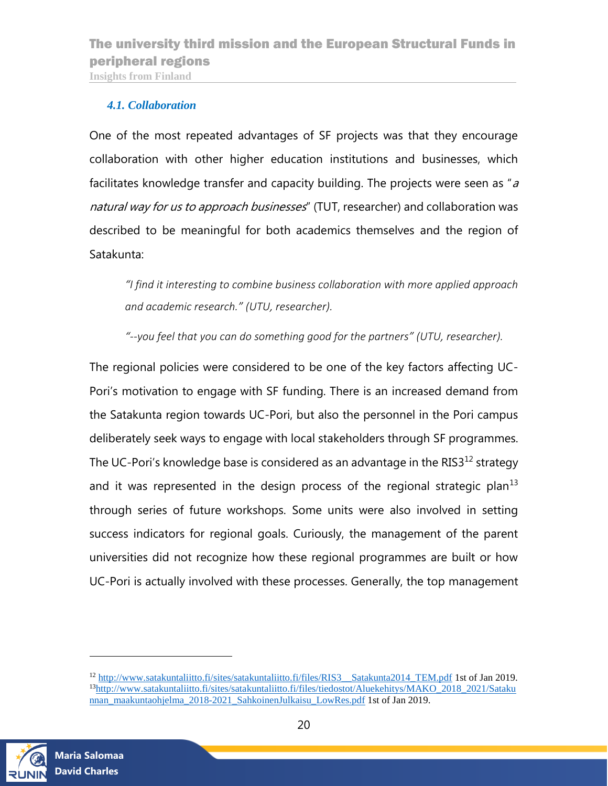#### <span id="page-19-0"></span>*4.1. Collaboration*

One of the most repeated advantages of SF projects was that they encourage collaboration with other higher education institutions and businesses, which facilitates knowledge transfer and capacity building. The projects were seen as " $a$ natural way for us to approach businesses" (TUT, researcher) and collaboration was described to be meaningful for both academics themselves and the region of Satakunta:

*"I find it interesting to combine business collaboration with more applied approach and academic research." (UTU, researcher).* 

*"--you feel that you can do something good for the partners" (UTU, researcher).*

The regional policies were considered to be one of the key factors affecting UC-Pori's motivation to engage with SF funding. There is an increased demand from the Satakunta region towards UC-Pori, but also the personnel in the Pori campus deliberately seek ways to engage with local stakeholders through SF programmes. The UC-Pori's knowledge base is considered as an advantage in the RIS3 $^{12}$  strategy and it was represented in the design process of the regional strategic plan<sup>13</sup> through series of future workshops. Some units were also involved in setting success indicators for regional goals. Curiously, the management of the parent universities did not recognize how these regional programmes are built or how UC-Pori is actually involved with these processes. Generally, the top management



l

<sup>12</sup> [http://www.satakuntaliitto.fi/sites/satakuntaliitto.fi/files/RIS3\\_\\_Satakunta2014\\_TEM.pdf](http://www.satakuntaliitto.fi/sites/satakuntaliitto.fi/files/RIS3__Satakunta2014_TEM.pdf) 1st of Jan 2019. <sup>13</sup>[http://www.satakuntaliitto.fi/sites/satakuntaliitto.fi/files/tiedostot/Aluekehitys/MAKO\\_2018\\_2021/Sataku](http://www.satakuntaliitto.fi/sites/satakuntaliitto.fi/files/tiedostot/Aluekehitys/MAKO_2018_2021/Satakunnan_maakuntaohjelma_2018-2021_SahkoinenJulkaisu_LowRes.pdf) [nnan\\_maakuntaohjelma\\_2018-2021\\_SahkoinenJulkaisu\\_LowRes.pdf](http://www.satakuntaliitto.fi/sites/satakuntaliitto.fi/files/tiedostot/Aluekehitys/MAKO_2018_2021/Satakunnan_maakuntaohjelma_2018-2021_SahkoinenJulkaisu_LowRes.pdf) 1st of Jan 2019.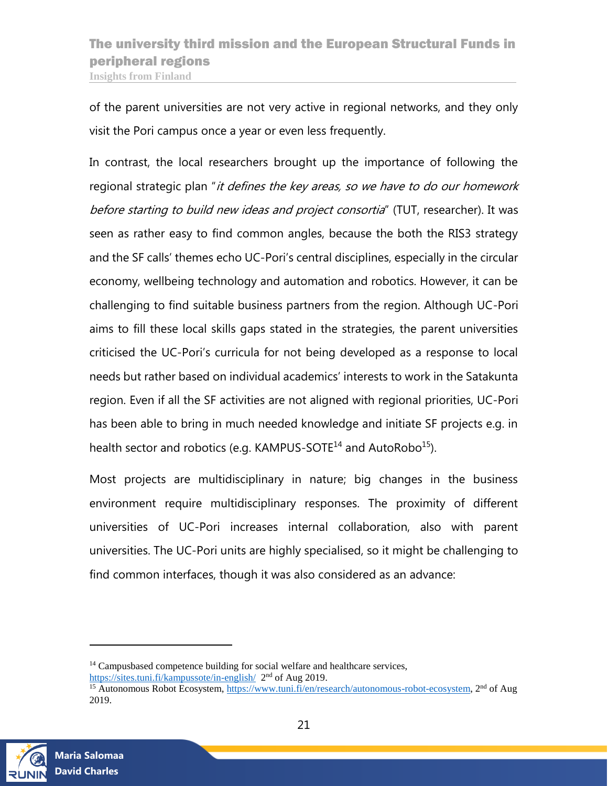of the parent universities are not very active in regional networks, and they only visit the Pori campus once a year or even less frequently.

In contrast, the local researchers brought up the importance of following the regional strategic plan "it defines the key areas, so we have to do our homework before starting to build new ideas and project consortia" (TUT, researcher). It was seen as rather easy to find common angles, because the both the RIS3 strategy and the SF calls' themes echo UC-Pori's central disciplines, especially in the circular economy, wellbeing technology and automation and robotics. However, it can be challenging to find suitable business partners from the region. Although UC-Pori aims to fill these local skills gaps stated in the strategies, the parent universities criticised the UC-Pori's curricula for not being developed as a response to local needs but rather based on individual academics' interests to work in the Satakunta region. Even if all the SF activities are not aligned with regional priorities, UC-Pori has been able to bring in much needed knowledge and initiate SF projects e.g. in health sector and robotics (e.g. KAMPUS-SOTE<sup>14</sup> and AutoRobo<sup>15</sup>).

Most projects are multidisciplinary in nature; big changes in the business environment require multidisciplinary responses. The proximity of different universities of UC-Pori increases internal collaboration, also with parent universities. The UC-Pori units are highly specialised, so it might be challenging to find common interfaces, though it was also considered as an advance:



 $\overline{a}$ 

<sup>&</sup>lt;sup>14</sup> Campusbased competence building for social welfare and healthcare services, <https://sites.tuni.fi/kampussote/in-english/>2<sup>nd</sup> of Aug 2019.

<sup>&</sup>lt;sup>15</sup> Autonomous Robot Ecosystem, [https://www.tuni.fi/en/research/autonomous-robot-ecosystem,](https://www.tuni.fi/en/research/autonomous-robot-ecosystem) 2<sup>nd</sup> of Aug 2019.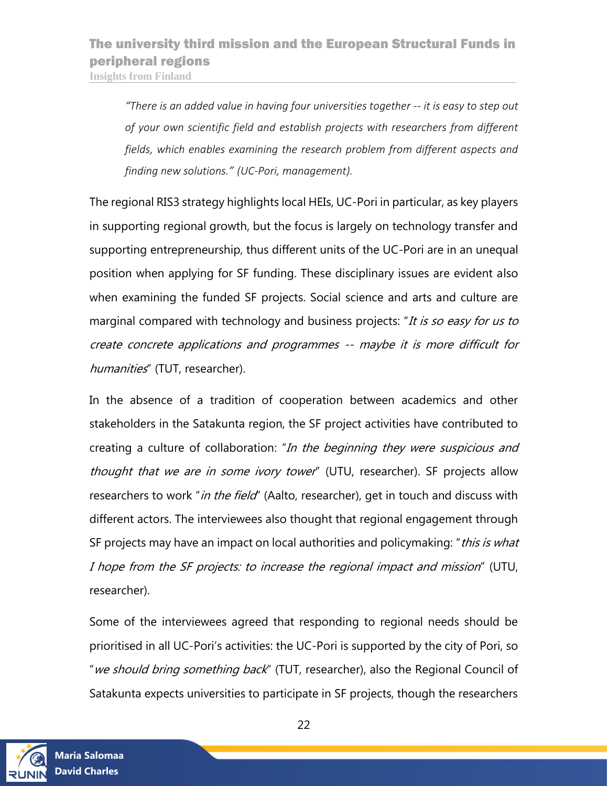*"There is an added value in having four universities together -- it is easy to step out of your own scientific field and establish projects with researchers from different fields, which enables examining the research problem from different aspects and finding new solutions." (UC-Pori, management).*

The regional RIS3 strategy highlights local HEIs, UC-Pori in particular, as key players in supporting regional growth, but the focus is largely on technology transfer and supporting entrepreneurship, thus different units of the UC-Pori are in an unequal position when applying for SF funding. These disciplinary issues are evident also when examining the funded SF projects. Social science and arts and culture are marginal compared with technology and business projects: "It is so easy for us to create concrete applications and programmes -- maybe it is more difficult for humanities" (TUT, researcher).

In the absence of a tradition of cooperation between academics and other stakeholders in the Satakunta region, the SF project activities have contributed to creating a culture of collaboration: "In the beginning they were suspicious and thought that we are in some ivory tower" (UTU, researcher). SF projects allow researchers to work "*in the field*" (Aalto, researcher), get in touch and discuss with different actors. The interviewees also thought that regional engagement through SF projects may have an impact on local authorities and policymaking: "this is what I hope from the SF projects: to increase the regional impact and mission" (UTU, researcher).

Some of the interviewees agreed that responding to regional needs should be prioritised in all UC-Pori's activities: the UC-Pori is supported by the city of Pori, so "we should bring something back" (TUT, researcher), also the Regional Council of Satakunta expects universities to participate in SF projects, though the researchers

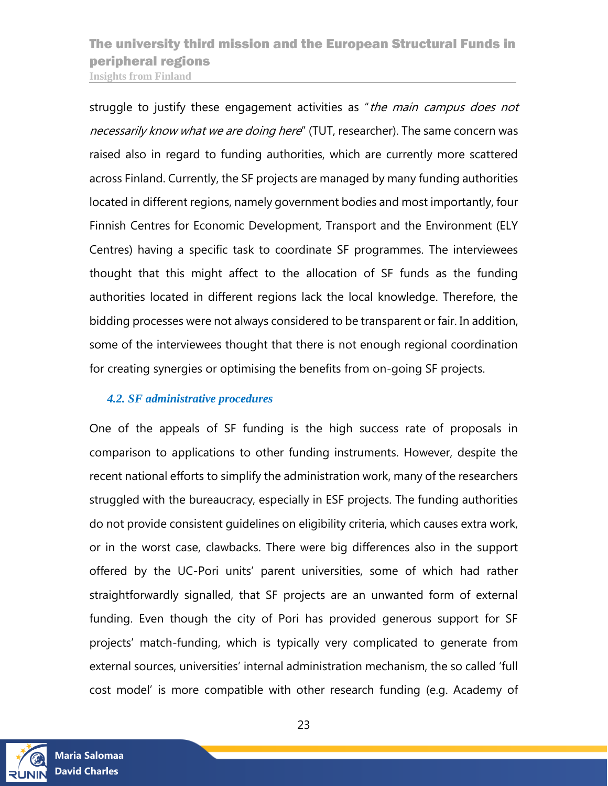struggle to justify these engagement activities as "the main campus does not necessarily know what we are doing here" (TUT, researcher). The same concern was raised also in regard to funding authorities, which are currently more scattered across Finland. Currently, the SF projects are managed by many funding authorities located in different regions, namely government bodies and most importantly, four Finnish Centres for Economic Development, Transport and the Environment (ELY Centres) having a specific task to coordinate SF programmes. The interviewees thought that this might affect to the allocation of SF funds as the funding authorities located in different regions lack the local knowledge. Therefore, the bidding processes were not always considered to be transparent or fair. In addition, some of the interviewees thought that there is not enough regional coordination for creating synergies or optimising the benefits from on-going SF projects.

#### <span id="page-22-0"></span>*4.2. SF administrative procedures*

One of the appeals of SF funding is the high success rate of proposals in comparison to applications to other funding instruments. However, despite the recent national efforts to simplify the administration work, many of the researchers struggled with the bureaucracy, especially in ESF projects. The funding authorities do not provide consistent guidelines on eligibility criteria, which causes extra work, or in the worst case, clawbacks. There were big differences also in the support offered by the UC-Pori units' parent universities, some of which had rather straightforwardly signalled, that SF projects are an unwanted form of external funding. Even though the city of Pori has provided generous support for SF projects' match-funding, which is typically very complicated to generate from external sources, universities' internal administration mechanism, the so called 'full cost model' is more compatible with other research funding (e.g. Academy of

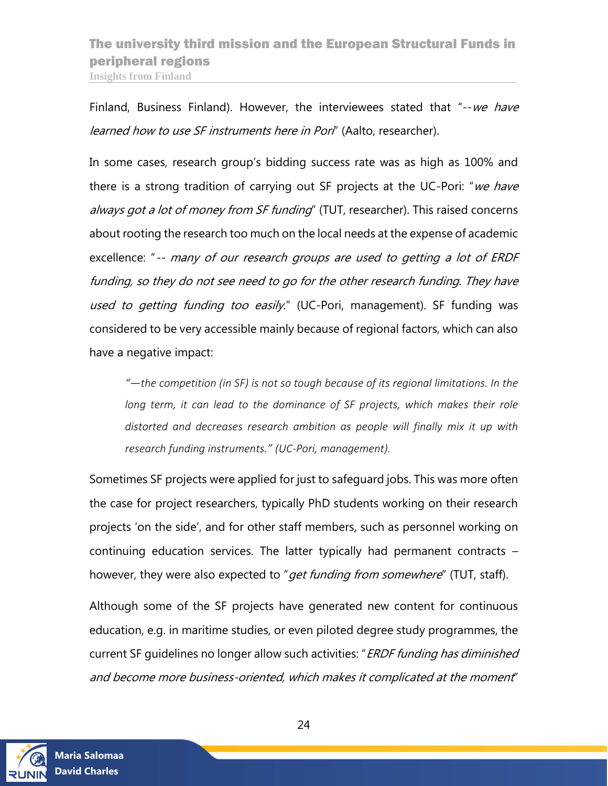Finland, Business Finland). However, the interviewees stated that "--we have learned how to use SF instruments here in Porl" (Aalto, researcher).

In some cases, research group's bidding success rate was as high as 100% and there is a strong tradition of carrying out SF projects at the UC-Pori: "we have always got a lot of money from SF funding" (TUT, researcher). This raised concerns about rooting the research too much on the local needs at the expense of academic excellence: "-- many of our research groups are used to getting a lot of ERDF funding, so they do not see need to go for the other research funding. They have used to getting funding too easily." (UC-Pori, management). SF funding was considered to be very accessible mainly because of regional factors, which can also have a negative impact:

*"—the competition (in SF) is not so tough because of its regional limitations. In the*  long term, it can lead to the dominance of SF projects, which makes their role *distorted and decreases research ambition as people will finally mix it up with research funding instruments." (UC-Pori, management).* 

Sometimes SF projects were applied for just to safeguard jobs. This was more often the case for project researchers, typically PhD students working on their research projects 'on the side', and for other staff members, such as personnel working on continuing education services. The latter typically had permanent contracts – however, they were also expected to "*get funding from somewhere*" (TUT, staff).

Although some of the SF projects have generated new content for continuous education, e.g. in maritime studies, or even piloted degree study programmes, the current SF quidelines no longer allow such activities: "ERDF funding has diminished and become more business-oriented, which makes it complicated at the moment"

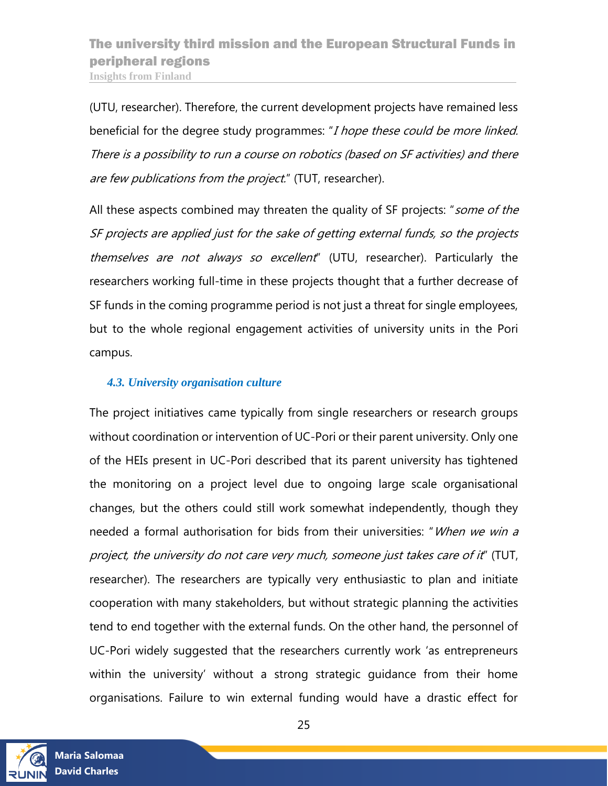(UTU, researcher). Therefore, the current development projects have remained less beneficial for the degree study programmes: "I hope these could be more linked. There is a possibility to run a course on robotics (based on SF activities) and there are few publications from the project." (TUT, researcher).

All these aspects combined may threaten the quality of SF projects: "some of the SF projects are applied just for the sake of getting external funds, so the projects themselves are not always so excellent" (UTU, researcher). Particularly the researchers working full-time in these projects thought that a further decrease of SF funds in the coming programme period is not just a threat for single employees, but to the whole regional engagement activities of university units in the Pori campus.

#### <span id="page-24-0"></span>*4.3. University organisation culture*

The project initiatives came typically from single researchers or research groups without coordination or intervention of UC-Pori or their parent university. Only one of the HEIs present in UC-Pori described that its parent university has tightened the monitoring on a project level due to ongoing large scale organisational changes, but the others could still work somewhat independently, though they needed a formal authorisation for bids from their universities: "When we win a project, the university do not care very much, someone just takes care of it" (TUT, researcher). The researchers are typically very enthusiastic to plan and initiate cooperation with many stakeholders, but without strategic planning the activities tend to end together with the external funds. On the other hand, the personnel of UC-Pori widely suggested that the researchers currently work 'as entrepreneurs within the university' without a strong strategic guidance from their home organisations. Failure to win external funding would have a drastic effect for

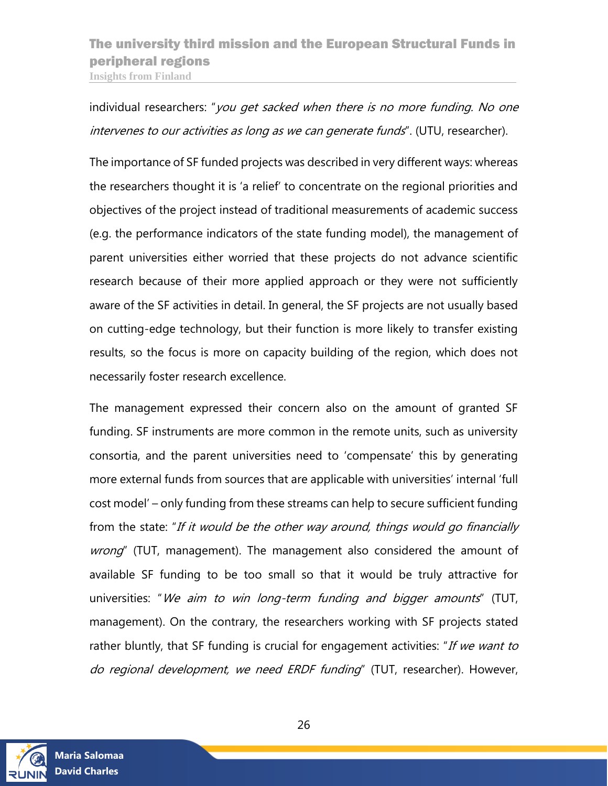individual researchers: "you get sacked when there is no more funding. No one intervenes to our activities as long as we can generate funds". (UTU, researcher).

The importance of SF funded projects was described in very different ways: whereas the researchers thought it is 'a relief' to concentrate on the regional priorities and objectives of the project instead of traditional measurements of academic success (e.g. the performance indicators of the state funding model), the management of parent universities either worried that these projects do not advance scientific research because of their more applied approach or they were not sufficiently aware of the SF activities in detail. In general, the SF projects are not usually based on cutting-edge technology, but their function is more likely to transfer existing results, so the focus is more on capacity building of the region, which does not necessarily foster research excellence.

The management expressed their concern also on the amount of granted SF funding. SF instruments are more common in the remote units, such as university consortia, and the parent universities need to 'compensate' this by generating more external funds from sources that are applicable with universities' internal 'full cost model' – only funding from these streams can help to secure sufficient funding from the state: "If it would be the other way around, things would go financially wrong" (TUT, management). The management also considered the amount of available SF funding to be too small so that it would be truly attractive for universities: "We aim to win long-term funding and bigger amounts" (TUT, management). On the contrary, the researchers working with SF projects stated rather bluntly, that SF funding is crucial for engagement activities: "If we want to do regional development, we need ERDF funding" (TUT, researcher). However,

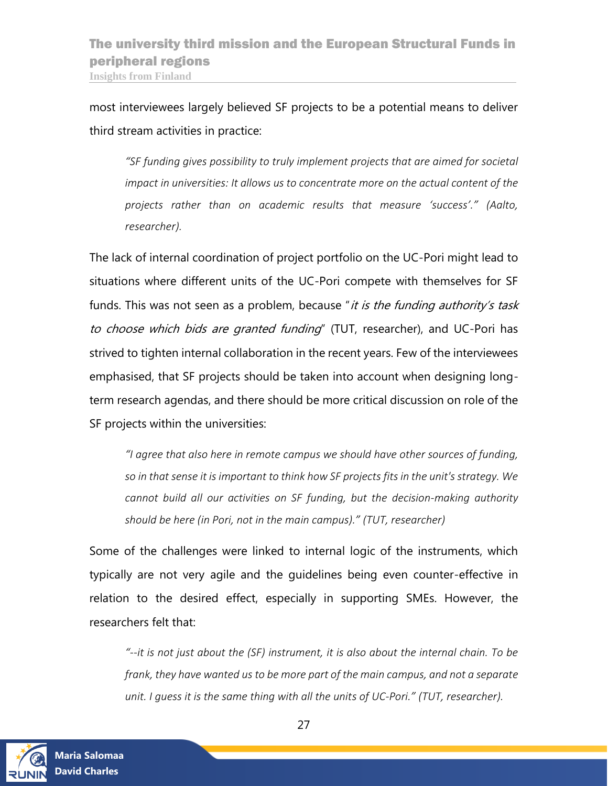most interviewees largely believed SF projects to be a potential means to deliver third stream activities in practice:

*"SF funding gives possibility to truly implement projects that are aimed for societal impact in universities: It allows us to concentrate more on the actual content of the projects rather than on academic results that measure 'success'." (Aalto, researcher).* 

The lack of internal coordination of project portfolio on the UC-Pori might lead to situations where different units of the UC-Pori compete with themselves for SF funds. This was not seen as a problem, because "it is the funding authority's task to choose which bids are granted funding" (TUT, researcher), and UC-Pori has strived to tighten internal collaboration in the recent years. Few of the interviewees emphasised, that SF projects should be taken into account when designing longterm research agendas, and there should be more critical discussion on role of the SF projects within the universities:

*"I agree that also here in remote campus we should have other sources of funding, so in that sense it is important to think how SF projects fits in the unit's strategy. We cannot build all our activities on SF funding, but the decision-making authority should be here (in Pori, not in the main campus)." (TUT, researcher)*

Some of the challenges were linked to internal logic of the instruments, which typically are not very agile and the guidelines being even counter-effective in relation to the desired effect, especially in supporting SMEs. However, the researchers felt that:

*"--it is not just about the (SF) instrument, it is also about the internal chain. To be frank, they have wanted us to be more part of the main campus, and not a separate unit. I guess it is the same thing with all the units of UC-Pori." (TUT, researcher).*

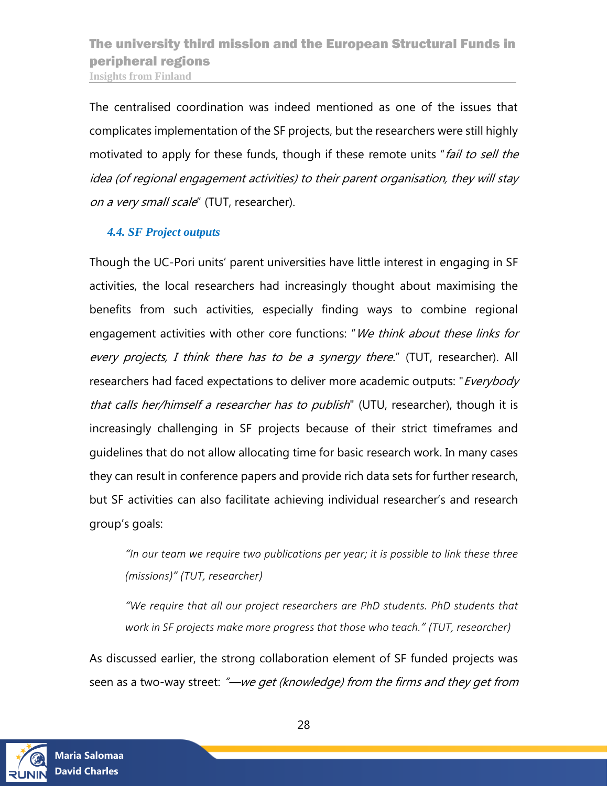The centralised coordination was indeed mentioned as one of the issues that complicates implementation of the SF projects, but the researchers were still highly motivated to apply for these funds, though if these remote units "fail to sell the idea (of regional engagement activities) to their parent organisation, they will stay on a very small scale" (TUT, researcher).

#### <span id="page-27-0"></span>*4.4. SF Project outputs*

Though the UC-Pori units' parent universities have little interest in engaging in SF activities, the local researchers had increasingly thought about maximising the benefits from such activities, especially finding ways to combine regional engagement activities with other core functions: "We think about these links for every projects, I think there has to be a synergy there." (TUT, researcher). All researchers had faced expectations to deliver more academic outputs: "*Everybody* that calls her/himself a researcher has to publish" (UTU, researcher), though it is increasingly challenging in SF projects because of their strict timeframes and guidelines that do not allow allocating time for basic research work. In many cases they can result in conference papers and provide rich data sets for further research, but SF activities can also facilitate achieving individual researcher's and research group's goals:

*"In our team we require two publications per year; it is possible to link these three (missions)" (TUT, researcher)*

*"We require that all our project researchers are PhD students. PhD students that work in SF projects make more progress that those who teach." (TUT, researcher)*

As discussed earlier, the strong collaboration element of SF funded projects was seen as a two-way street: "—we get (knowledge) from the firms and they get from

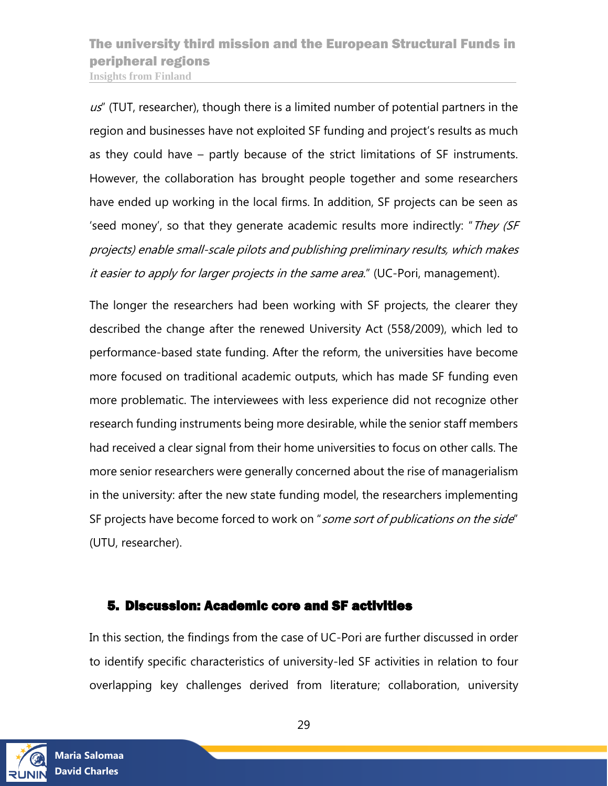$us''$  (TUT, researcher), though there is a limited number of potential partners in the region and businesses have not exploited SF funding and project's results as much as they could have – partly because of the strict limitations of SF instruments. However, the collaboration has brought people together and some researchers have ended up working in the local firms. In addition, SF projects can be seen as 'seed money', so that they generate academic results more indirectly: "They (SF projects) enable small-scale pilots and publishing preliminary results, which makes it easier to apply for larger projects in the same area." (UC-Pori, management).

The longer the researchers had been working with SF projects, the clearer they described the change after the renewed University Act (558/2009), which led to performance-based state funding. After the reform, the universities have become more focused on traditional academic outputs, which has made SF funding even more problematic. The interviewees with less experience did not recognize other research funding instruments being more desirable, while the senior staff members had received a clear signal from their home universities to focus on other calls. The more senior researchers were generally concerned about the rise of managerialism in the university: after the new state funding model, the researchers implementing SF projects have become forced to work on "some sort of publications on the side" (UTU, researcher).

### <span id="page-28-0"></span>5. Discussion: Academic core and SF activities

In this section, the findings from the case of UC-Pori are further discussed in order to identify specific characteristics of university-led SF activities in relation to four overlapping key challenges derived from literature; collaboration, university

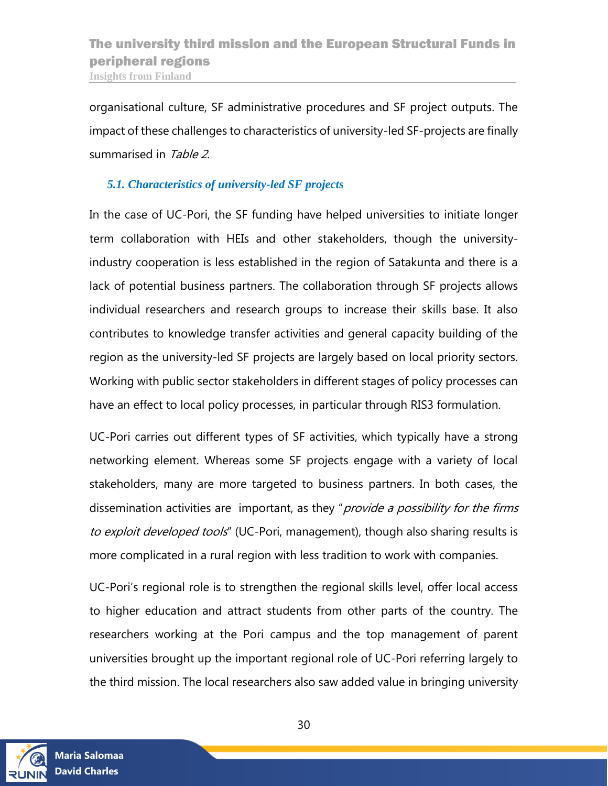organisational culture, SF administrative procedures and SF project outputs. The impact of these challenges to characteristics of university-led SF-projects are finally summarised in Table 2.

#### <span id="page-29-0"></span>*5.1. Characteristics of university-led SF projects*

In the case of UC-Pori, the SF funding have helped universities to initiate longer term collaboration with HEIs and other stakeholders, though the universityindustry cooperation is less established in the region of Satakunta and there is a lack of potential business partners. The collaboration through SF projects allows individual researchers and research groups to increase their skills base. It also contributes to knowledge transfer activities and general capacity building of the region as the university-led SF projects are largely based on local priority sectors. Working with public sector stakeholders in different stages of policy processes can have an effect to local policy processes, in particular through RIS3 formulation.

UC-Pori carries out different types of SF activities, which typically have a strong networking element. Whereas some SF projects engage with a variety of local stakeholders, many are more targeted to business partners. In both cases, the dissemination activities are important, as they "*provide a possibility for the firms* to exploit developed tools" (UC-Pori, management), though also sharing results is more complicated in a rural region with less tradition to work with companies.

UC-Pori's regional role is to strengthen the regional skills level, offer local access to higher education and attract students from other parts of the country. The researchers working at the Pori campus and the top management of parent universities brought up the important regional role of UC-Pori referring largely to the third mission. The local researchers also saw added value in bringing university

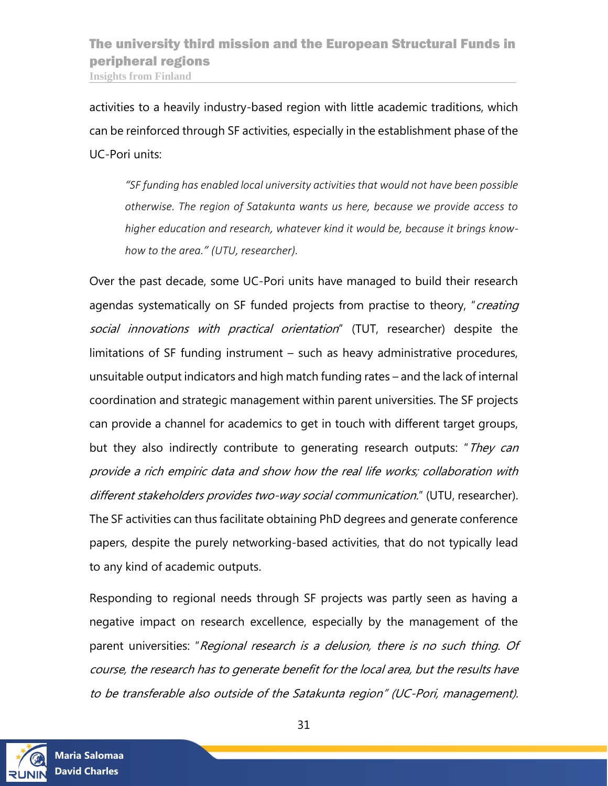activities to a heavily industry-based region with little academic traditions, which can be reinforced through SF activities, especially in the establishment phase of the UC-Pori units:

*"SF funding has enabled local university activities that would not have been possible otherwise. The region of Satakunta wants us here, because we provide access to higher education and research, whatever kind it would be, because it brings knowhow to the area." (UTU, researcher).*

Over the past decade, some UC-Pori units have managed to build their research agendas systematically on SF funded projects from practise to theory, "creating social innovations with practical orientation" (TUT, researcher) despite the limitations of SF funding instrument – such as heavy administrative procedures, unsuitable output indicators and high match funding rates – and the lack of internal coordination and strategic management within parent universities. The SF projects can provide a channel for academics to get in touch with different target groups, but they also indirectly contribute to generating research outputs: "They can provide a rich empiric data and show how the real life works; collaboration with different stakeholders provides two-way social communication." (UTU, researcher). The SF activities can thus facilitate obtaining PhD degrees and generate conference papers, despite the purely networking-based activities, that do not typically lead to any kind of academic outputs.

Responding to regional needs through SF projects was partly seen as having a negative impact on research excellence, especially by the management of the parent universities: "Regional research is a delusion, there is no such thing. Of course, the research has to generate benefit for the local area, but the results have to be transferable also outside of the Satakunta region" (UC-Pori, management).

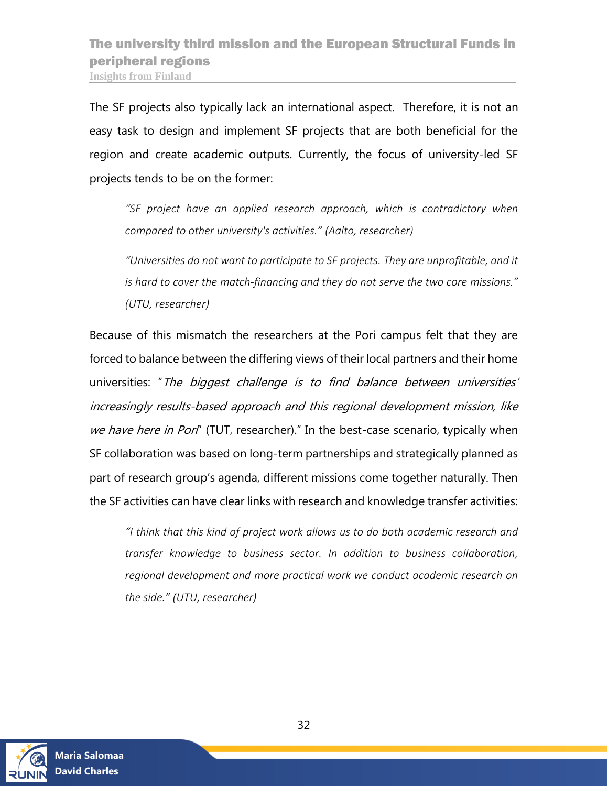The SF projects also typically lack an international aspect. Therefore, it is not an easy task to design and implement SF projects that are both beneficial for the region and create academic outputs. Currently, the focus of university-led SF projects tends to be on the former:

*"SF project have an applied research approach, which is contradictory when compared to other university's activities." (Aalto, researcher)*

*"Universities do not want to participate to SF projects. They are unprofitable, and it is hard to cover the match-financing and they do not serve the two core missions." (UTU, researcher)*

Because of this mismatch the researchers at the Pori campus felt that they are forced to balance between the differing views of their local partners and their home universities: "The biggest challenge is to find balance between universities' increasingly results-based approach and this regional development mission, like we have here in Pori" (TUT, researcher)." In the best-case scenario, typically when SF collaboration was based on long-term partnerships and strategically planned as part of research group's agenda, different missions come together naturally. Then the SF activities can have clear links with research and knowledge transfer activities:

*"I think that this kind of project work allows us to do both academic research and transfer knowledge to business sector. In addition to business collaboration, regional development and more practical work we conduct academic research on the side." (UTU, researcher)*

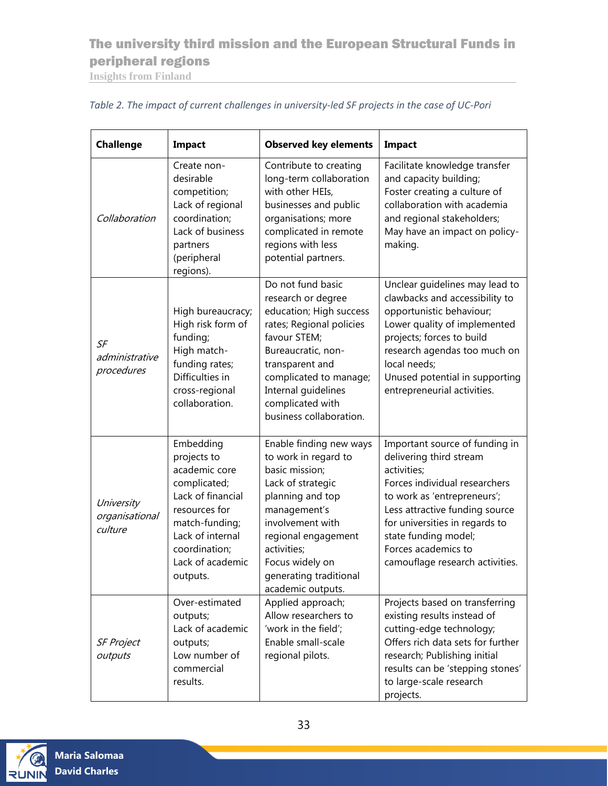## The university third mission and the European Structural Funds in peripheral regions

**Insights from Finland**

| <b>Challenge</b>                        | Impact                                                                                                                                                                                 | <b>Observed key elements</b>                                                                                                                                                                                                                            | Impact                                                                                                                                                                                                                                                                                         |
|-----------------------------------------|----------------------------------------------------------------------------------------------------------------------------------------------------------------------------------------|---------------------------------------------------------------------------------------------------------------------------------------------------------------------------------------------------------------------------------------------------------|------------------------------------------------------------------------------------------------------------------------------------------------------------------------------------------------------------------------------------------------------------------------------------------------|
| Collaboration                           | Create non-<br>desirable<br>competition;<br>Lack of regional<br>coordination;<br>Lack of business<br>partners<br>(peripheral<br>regions).                                              | Contribute to creating<br>long-term collaboration<br>with other HEIs,<br>businesses and public<br>organisations; more<br>complicated in remote<br>regions with less<br>potential partners.                                                              | Facilitate knowledge transfer<br>and capacity building;<br>Foster creating a culture of<br>collaboration with academia<br>and regional stakeholders;<br>May have an impact on policy-<br>making.                                                                                               |
| SF<br>administrative<br>procedures      | High bureaucracy;<br>High risk form of<br>funding;<br>High match-<br>funding rates;<br>Difficulties in<br>cross-regional<br>collaboration.                                             | Do not fund basic<br>research or degree<br>education; High success<br>rates; Regional policies<br>favour STEM;<br>Bureaucratic, non-<br>transparent and<br>complicated to manage;<br>Internal guidelines<br>complicated with<br>business collaboration. | Unclear guidelines may lead to<br>clawbacks and accessibility to<br>opportunistic behaviour;<br>Lower quality of implemented<br>projects; forces to build<br>research agendas too much on<br>local needs;<br>Unused potential in supporting<br>entrepreneurial activities.                     |
| University<br>organisational<br>culture | Embedding<br>projects to<br>academic core<br>complicated;<br>Lack of financial<br>resources for<br>match-funding;<br>Lack of internal<br>coordination;<br>Lack of academic<br>outputs. | Enable finding new ways<br>to work in regard to<br>basic mission;<br>Lack of strategic<br>planning and top<br>management's<br>involvement with<br>regional engagement<br>activities;<br>Focus widely on<br>generating traditional<br>academic outputs.  | Important source of funding in<br>delivering third stream<br>activities;<br>Forces individual researchers<br>to work as 'entrepreneurs';<br>Less attractive funding source<br>for universities in regards to<br>state funding model;<br>Forces academics to<br>camouflage research activities. |
| <b>SF Project</b><br>outputs            | Over-estimated<br>outputs;<br>Lack of academic<br>outputs;<br>Low number of<br>commercial<br>results.                                                                                  | Applied approach;<br>Allow researchers to<br>'work in the field';<br>Enable small-scale<br>regional pilots.                                                                                                                                             | Projects based on transferring<br>existing results instead of<br>cutting-edge technology;<br>Offers rich data sets for further<br>research; Publishing initial<br>results can be 'stepping stones'<br>to large-scale research<br>projects.                                                     |

#### <span id="page-32-0"></span>*Table 2. The impact of current challenges in university-led SF projects in the case of UC-Pori*

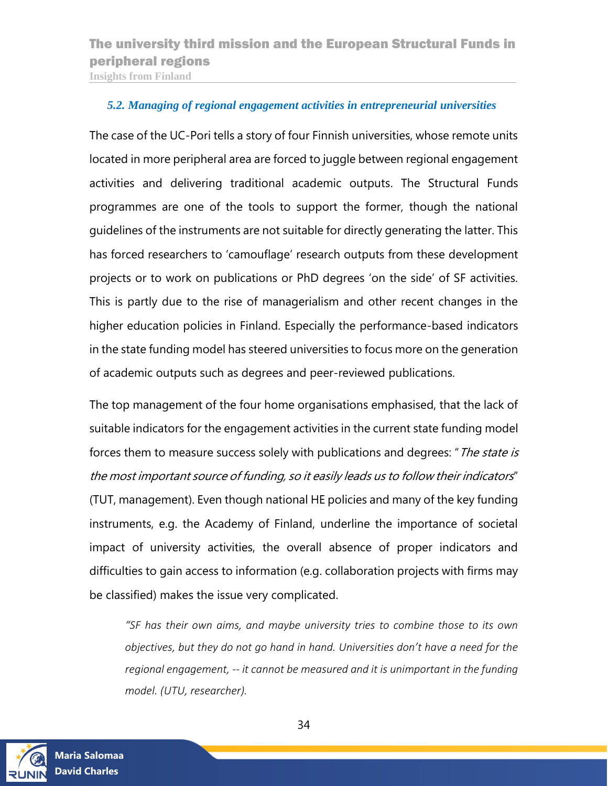<span id="page-33-0"></span>*5.2. Managing of regional engagement activities in entrepreneurial universities*

The case of the UC-Pori tells a story of four Finnish universities, whose remote units located in more peripheral area are forced to juggle between regional engagement activities and delivering traditional academic outputs. The Structural Funds programmes are one of the tools to support the former, though the national guidelines of the instruments are not suitable for directly generating the latter. This has forced researchers to 'camouflage' research outputs from these development projects or to work on publications or PhD degrees 'on the side' of SF activities. This is partly due to the rise of managerialism and other recent changes in the higher education policies in Finland. Especially the performance-based indicators in the state funding model has steered universities to focus more on the generation of academic outputs such as degrees and peer-reviewed publications.

The top management of the four home organisations emphasised, that the lack of suitable indicators for the engagement activities in the current state funding model forces them to measure success solely with publications and degrees: "The state is the most important source of funding, so it easily leads us to follow their indicators" (TUT, management). Even though national HE policies and many of the key funding instruments, e.g. the Academy of Finland, underline the importance of societal impact of university activities, the overall absence of proper indicators and difficulties to gain access to information (e.g. collaboration projects with firms may be classified) makes the issue very complicated.

*"SF has their own aims, and maybe university tries to combine those to its own objectives, but they do not go hand in hand. Universities don't have a need for the regional engagement, -- it cannot be measured and it is unimportant in the funding model. (UTU, researcher).*

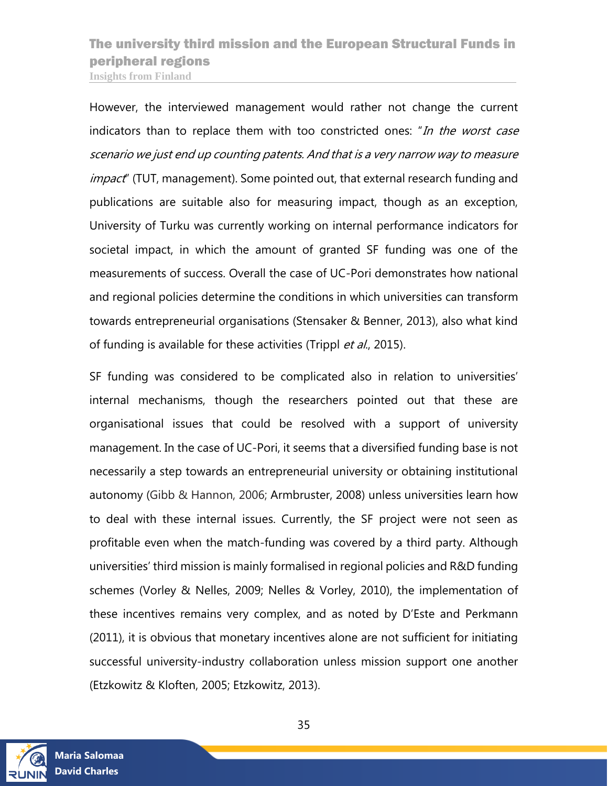However, the interviewed management would rather not change the current indicators than to replace them with too constricted ones: "In the worst case scenario we just end up counting patents. And that is a very narrow way to measure *impact*" (TUT, management). Some pointed out, that external research funding and publications are suitable also for measuring impact, though as an exception, University of Turku was currently working on internal performance indicators for societal impact, in which the amount of granted SF funding was one of the measurements of success. Overall the case of UC-Pori demonstrates how national and regional policies determine the conditions in which universities can transform towards entrepreneurial organisations (Stensaker & Benner, 2013), also what kind of funding is available for these activities (Trippl et al., 2015).

SF funding was considered to be complicated also in relation to universities' internal mechanisms, though the researchers pointed out that these are organisational issues that could be resolved with a support of university management. In the case of UC-Pori, it seems that a diversified funding base is not necessarily a step towards an entrepreneurial university or obtaining institutional autonomy (Gibb & Hannon, 2006; Armbruster, 2008) unless universities learn how to deal with these internal issues. Currently, the SF project were not seen as profitable even when the match-funding was covered by a third party. Although universities' third mission is mainly formalised in regional policies and R&D funding schemes (Vorley & Nelles, 2009; Nelles & Vorley, 2010), the implementation of these incentives remains very complex, and as noted by D'Este and Perkmann (2011), it is obvious that monetary incentives alone are not sufficient for initiating successful university-industry collaboration unless mission support one another (Etzkowitz & Kloften, 2005; Etzkowitz, 2013).



35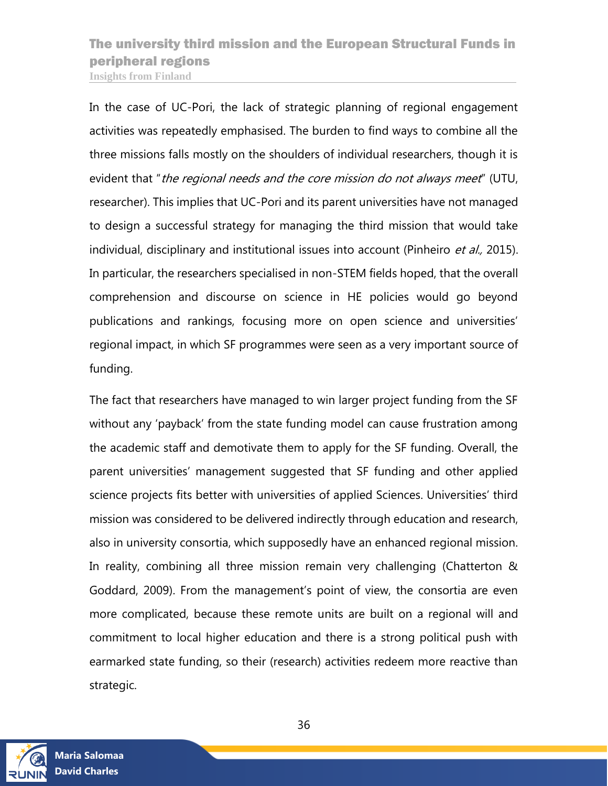In the case of UC-Pori, the lack of strategic planning of regional engagement activities was repeatedly emphasised. The burden to find ways to combine all the three missions falls mostly on the shoulders of individual researchers, though it is evident that "the regional needs and the core mission do not always meet" (UTU, researcher). This implies that UC-Pori and its parent universities have not managed to design a successful strategy for managing the third mission that would take individual, disciplinary and institutional issues into account (Pinheiro et al., 2015). In particular, the researchers specialised in non-STEM fields hoped, that the overall comprehension and discourse on science in HE policies would go beyond publications and rankings, focusing more on open science and universities' regional impact, in which SF programmes were seen as a very important source of funding.

The fact that researchers have managed to win larger project funding from the SF without any 'payback' from the state funding model can cause frustration among the academic staff and demotivate them to apply for the SF funding. Overall, the parent universities' management suggested that SF funding and other applied science projects fits better with universities of applied Sciences. Universities' third mission was considered to be delivered indirectly through education and research, also in university consortia, which supposedly have an enhanced regional mission. In reality, combining all three mission remain very challenging (Chatterton & Goddard, 2009). From the management's point of view, the consortia are even more complicated, because these remote units are built on a regional will and commitment to local higher education and there is a strong political push with earmarked state funding, so their (research) activities redeem more reactive than strategic.

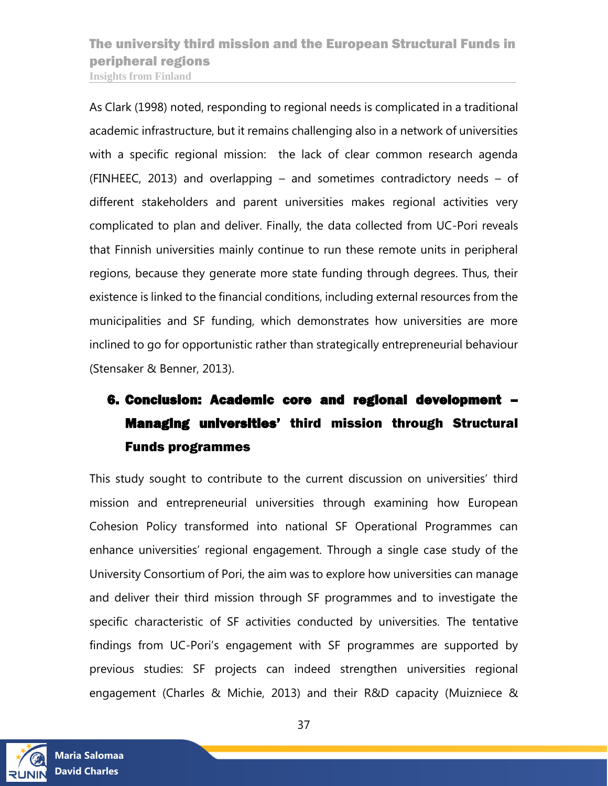As Clark (1998) noted, responding to regional needs is complicated in a traditional academic infrastructure, but it remains challenging also in a network of universities with a specific regional mission: the lack of clear common research agenda (FINHEEC, 2013) and overlapping – and sometimes contradictory needs – of different stakeholders and parent universities makes regional activities very complicated to plan and deliver. Finally, the data collected from UC-Pori reveals that Finnish universities mainly continue to run these remote units in peripheral regions, because they generate more state funding through degrees. Thus, their existence is linked to the financial conditions, including external resources from the municipalities and SF funding, which demonstrates how universities are more inclined to go for opportunistic rather than strategically entrepreneurial behaviour (Stensaker & Benner, 2013).

# <span id="page-36-0"></span>6. Conclusion: Academic core and regional development – Managing universities' third mission through Structural Funds programmes

This study sought to contribute to the current discussion on universities' third mission and entrepreneurial universities through examining how European Cohesion Policy transformed into national SF Operational Programmes can enhance universities' regional engagement. Through a single case study of the University Consortium of Pori, the aim was to explore how universities can manage and deliver their third mission through SF programmes and to investigate the specific characteristic of SF activities conducted by universities. The tentative findings from UC-Pori's engagement with SF programmes are supported by previous studies: SF projects can indeed strengthen universities regional engagement (Charles & Michie, 2013) and their R&D capacity (Muizniece &

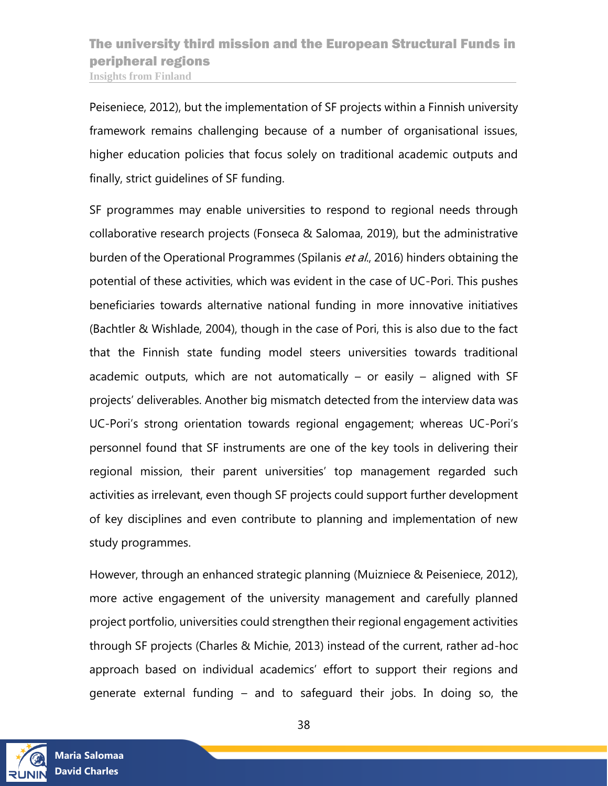Peiseniece, 2012), but the implementation of SF projects within a Finnish university framework remains challenging because of a number of organisational issues, higher education policies that focus solely on traditional academic outputs and finally, strict guidelines of SF funding.

SF programmes may enable universities to respond to regional needs through collaborative research projects (Fonseca & Salomaa, 2019), but the administrative burden of the Operational Programmes (Spilanis et al., 2016) hinders obtaining the potential of these activities, which was evident in the case of UC-Pori. This pushes beneficiaries towards alternative national funding in more innovative initiatives (Bachtler & Wishlade, 2004), though in the case of Pori, this is also due to the fact that the Finnish state funding model steers universities towards traditional academic outputs, which are not automatically – or easily – aligned with SF projects' deliverables. Another big mismatch detected from the interview data was UC-Pori's strong orientation towards regional engagement; whereas UC-Pori's personnel found that SF instruments are one of the key tools in delivering their regional mission, their parent universities' top management regarded such activities as irrelevant, even though SF projects could support further development of key disciplines and even contribute to planning and implementation of new study programmes.

However, through an enhanced strategic planning (Muizniece & Peiseniece, 2012), more active engagement of the university management and carefully planned project portfolio, universities could strengthen their regional engagement activities through SF projects (Charles & Michie, 2013) instead of the current, rather ad-hoc approach based on individual academics' effort to support their regions and generate external funding – and to safeguard their jobs. In doing so, the

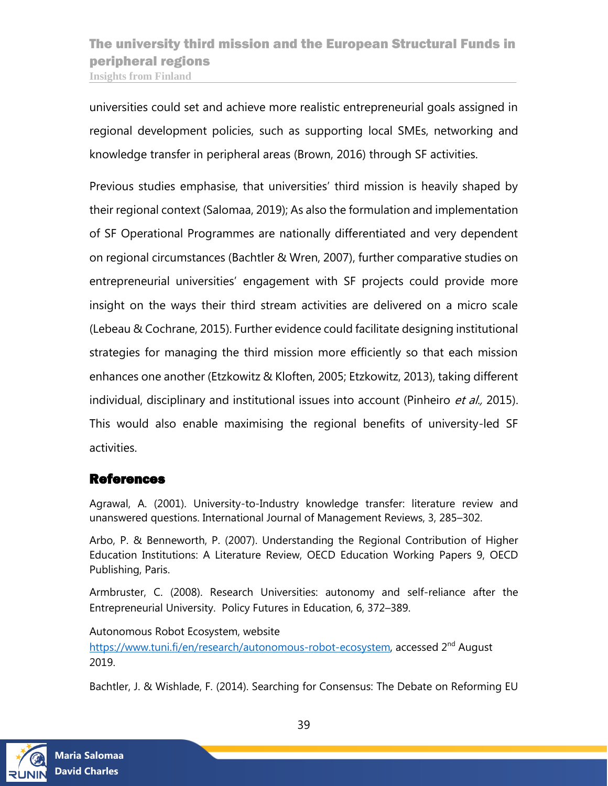universities could set and achieve more realistic entrepreneurial goals assigned in regional development policies, such as supporting local SMEs, networking and knowledge transfer in peripheral areas (Brown, 2016) through SF activities.

Previous studies emphasise, that universities' third mission is heavily shaped by their regional context (Salomaa, 2019); As also the formulation and implementation of SF Operational Programmes are nationally differentiated and very dependent on regional circumstances (Bachtler & Wren, 2007), further comparative studies on entrepreneurial universities' engagement with SF projects could provide more insight on the ways their third stream activities are delivered on a micro scale (Lebeau & Cochrane, 2015). Further evidence could facilitate designing institutional strategies for managing the third mission more efficiently so that each mission enhances one another (Etzkowitz & Kloften, 2005; Etzkowitz, 2013), taking different individual, disciplinary and institutional issues into account (Pinheiro et al., 2015). This would also enable maximising the regional benefits of university-led SF activities.

### <span id="page-38-0"></span>References

Agrawal, A. (2001). University-to-Industry knowledge transfer: literature review and unanswered questions. International Journal of Management Reviews, 3, 285–302.

Arbo, P. & Benneworth, P. (2007). Understanding the Regional Contribution of Higher Education Institutions: A Literature Review, OECD Education Working Papers 9, OECD Publishing, Paris.

Armbruster, C. (2008). Research Universities: autonomy and self-reliance after the Entrepreneurial University. Policy Futures in Education, 6, 372–389.

Autonomous Robot Ecosystem, website

[https://www.tuni.fi/en/research/autonomous-robot-ecosystem,](https://www.tuni.fi/en/research/autonomous-robot-ecosystem) accessed 2<sup>nd</sup> August 2019.

Bachtler, J. & Wishlade, F. (2014). Searching for Consensus: The Debate on Reforming EU

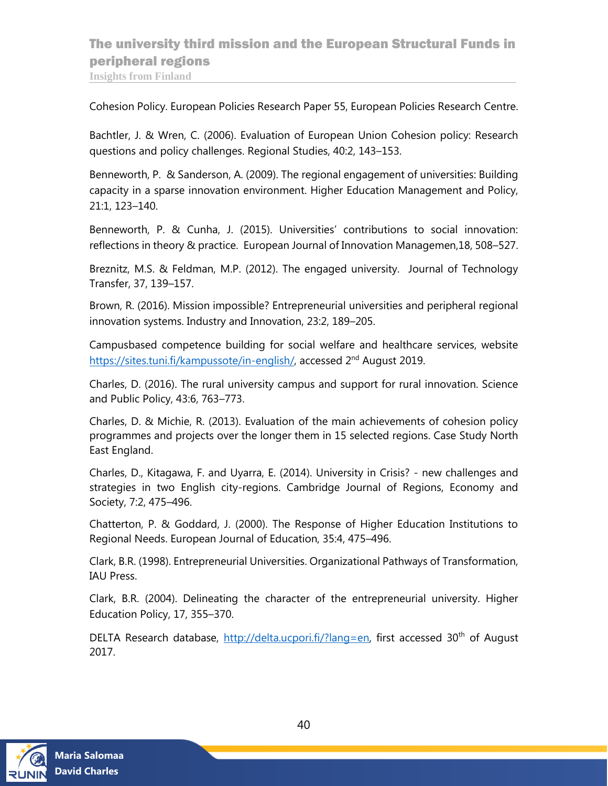Cohesion Policy. European Policies Research Paper 55, European Policies Research Centre.

Bachtler, J. & Wren, C. (2006). Evaluation of European Union Cohesion policy: Research questions and policy challenges. Regional Studies, 40:2, 143–153.

Benneworth, P. & Sanderson, A. (2009). The regional engagement of universities: Building capacity in a sparse innovation environment. Higher Education Management and Policy, 21:1, 123–140.

Benneworth, P. & Cunha, J. (2015). Universities' contributions to social innovation: reflections in theory & practice. European Journal of Innovation Managemen,18, 508–527.

Breznitz, M.S. & Feldman, M.P. (2012). The engaged university. Journal of Technology Transfer, 37, 139–157.

Brown, R. (2016). Mission impossible? Entrepreneurial universities and peripheral regional innovation systems. Industry and Innovation, 23:2, 189–205.

Campusbased competence building for social welfare and healthcare services, website [https://sites.tuni.fi/kampussote/in-english/,](https://sites.tuni.fi/kampussote/in-english/) accessed 2<sup>nd</sup> August 2019.

Charles, D. (2016). The rural university campus and support for rural innovation. Science and Public Policy, 43:6, 763–773.

Charles, D. & Michie, R. (2013). Evaluation of the main achievements of cohesion policy programmes and projects over the longer them in 15 selected regions. Case Study North East England.

Charles, D., Kitagawa, F. and Uyarra, E. (2014). University in Crisis? - new challenges and strategies in two English city-regions. Cambridge Journal of Regions, Economy and Society, 7:2, 475–496.

Chatterton, P. & Goddard, J. (2000). The Response of Higher Education Institutions to Regional Needs. European Journal of Education, 35:4, 475–496.

Clark, B.R. (1998). Entrepreneurial Universities. Organizational Pathways of Transformation, IAU Press.

Clark, B.R. (2004). Delineating the character of the entrepreneurial university. Higher Education Policy, 17, 355–370.

DELTA Research database, http://delta.ucpori.fi/?lang=en, first accessed 30<sup>th</sup> of August 2017.

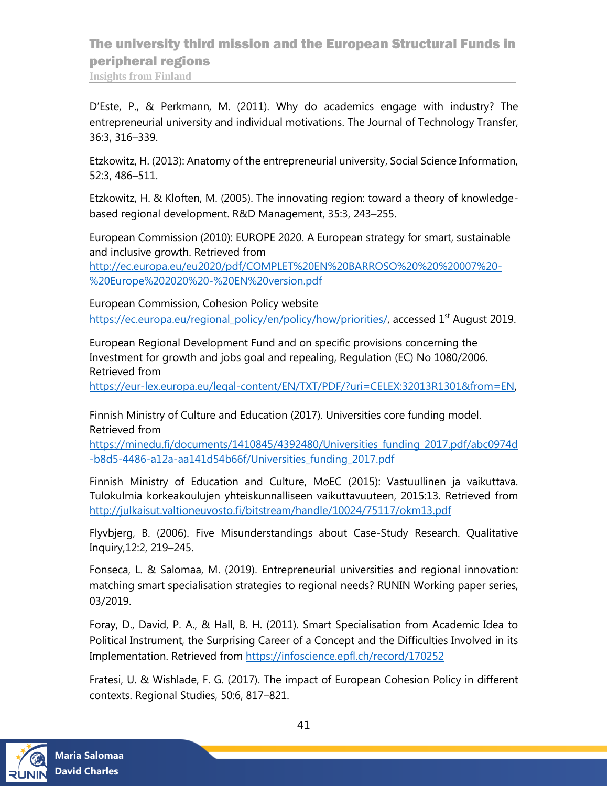D'Este, P., & Perkmann, M. (2011). Why do academics engage with industry? The entrepreneurial university and individual motivations. The Journal of Technology Transfer, 36:3, 316–339.

Etzkowitz, H. (2013): Anatomy of the entrepreneurial university, Social Science Information, 52:3, 486–511.

Etzkowitz, H. & Kloften, M. (2005). The innovating region: toward a theory of knowledgebased regional development. R&D Management, 35:3, 243–255.

European Commission (2010): EUROPE 2020. A European strategy for smart, sustainable and inclusive growth. Retrieved from

[http://ec.europa.eu/eu2020/pdf/COMPLET%20EN%20BARROSO%20%20%20007%20-](http://ec.europa.eu/eu2020/pdf/COMPLET%20EN%20BARROSO%20%20%20007%20-%20Europe%202020%20-%20EN%20version.pdf) [%20Europe%202020%20-%20EN%20version.pdf](http://ec.europa.eu/eu2020/pdf/COMPLET%20EN%20BARROSO%20%20%20007%20-%20Europe%202020%20-%20EN%20version.pdf)

European Commission, Cohesion Policy website [https://ec.europa.eu/regional\\_policy/en/policy/how/priorities/,](https://ec.europa.eu/regional_policy/en/policy/how/priorities/) accessed 1<sup>st</sup> August 2019.

European Regional Development Fund and on specific provisions concerning the Investment for growth and jobs goal and repealing, Regulation (EC) No 1080/2006. Retrieved from

[https://eur-lex.europa.eu/legal-content/EN/TXT/PDF/?uri=CELEX:32013R1301&from=EN,](https://eur-lex.europa.eu/legal-content/EN/TXT/PDF/?uri=CELEX:32013R1301&from=EN)

Finnish Ministry of Culture and Education (2017). Universities core funding model. Retrieved from

https://minedu.fi/documents/1410845/4392480/Universities\_funding\_2017.pdf/abc0974d -b8d5-4486-a12a-aa141d54b66f/Universities\_funding\_2017.pdf

Finnish Ministry of Education and Culture, MoEC (2015): Vastuullinen ja vaikuttava. Tulokulmia korkeakoulujen yhteiskunnalliseen vaikuttavuuteen, 2015:13. Retrieved from <http://julkaisut.valtioneuvosto.fi/bitstream/handle/10024/75117/okm13.pdf>

Flyvbjerg, B. (2006). Five Misunderstandings about Case-Study Research. Qualitative Inquiry,12:2, 219–245.

Fonseca, L. & Salomaa, M. (2019). Entrepreneurial universities and regional innovation: matching smart specialisation strategies to regional needs? RUNIN Working paper series, 03/2019.

Foray, D., David, P. A., & Hall, B. H. (2011). Smart Specialisation from Academic Idea to Political Instrument, the Surprising Career of a Concept and the Difficulties Involved in its Implementation. Retrieved from<https://infoscience.epfl.ch/record/170252>

Fratesi, U. & Wishlade, F. G. (2017). The impact of European Cohesion Policy in different contexts. Regional Studies, 50:6, 817–821.

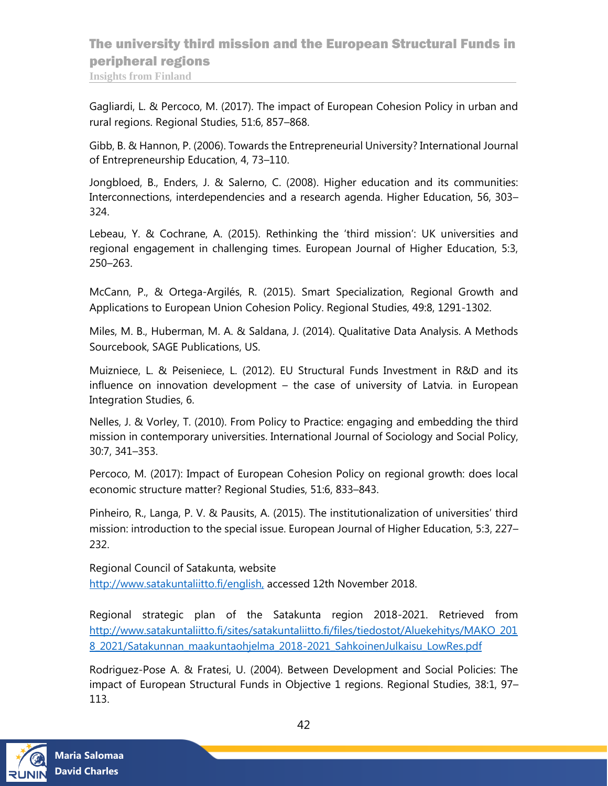# The university third mission and the European Structural Funds in peripheral regions

**Insights from Finland**

Gagliardi, L. & Percoco, M. (2017). The impact of European Cohesion Policy in urban and rural regions. Regional Studies, 51:6, 857–868.

Gibb, B. & Hannon, P. (2006). Towards the Entrepreneurial University? International Journal of Entrepreneurship Education, 4, 73–110.

Jongbloed, B., Enders, J. & Salerno, C. (2008). Higher education and its communities: Interconnections, interdependencies and a research agenda. Higher Education, 56, 303– 324.

Lebeau, Y. & Cochrane, A. (2015). Rethinking the 'third mission': UK universities and regional engagement in challenging times. European Journal of Higher Education, 5:3, 250–263.

McCann, P., & Ortega-Argilés, R. (2015). Smart Specialization, Regional Growth and Applications to European Union Cohesion Policy. Regional Studies, 49:8, 1291-1302.

Miles, M. B., Huberman, M. A. & Saldana, J. (2014). Qualitative Data Analysis. A Methods Sourcebook, SAGE Publications, US.

Muizniece, L. & Peiseniece, L. (2012). EU Structural Funds Investment in R&D and its influence on innovation development – the case of university of Latvia. in European Integration Studies, 6.

Nelles, J. & Vorley, T. (2010). From Policy to Practice: engaging and embedding the third mission in contemporary universities. International Journal of Sociology and Social Policy, 30:7, 341–353.

Percoco, M. (2017): Impact of European Cohesion Policy on regional growth: does local economic structure matter? Regional Studies, 51:6, 833–843.

Pinheiro, R., Langa, P. V. & Pausits, A. (2015). The institutionalization of universities' third mission: introduction to the special issue. European Journal of Higher Education, 5:3, 227– 232.

Regional Council of Satakunta, website http://www.satakuntaliitto.fi/english, accessed 12th November 2018.

Regional strategic plan of the Satakunta region 2018-2021. Retrieved from [http://www.satakuntaliitto.fi/sites/satakuntaliitto.fi/files/tiedostot/Aluekehitys/MAKO\\_201](http://www.satakuntaliitto.fi/sites/satakuntaliitto.fi/files/tiedostot/Aluekehitys/MAKO_2018_2021/Satakunnan_maakuntaohjelma_2018-2021_SahkoinenJulkaisu_LowRes.pdf) [8\\_2021/Satakunnan\\_maakuntaohjelma\\_2018-2021\\_SahkoinenJulkaisu\\_LowRes.pdf](http://www.satakuntaliitto.fi/sites/satakuntaliitto.fi/files/tiedostot/Aluekehitys/MAKO_2018_2021/Satakunnan_maakuntaohjelma_2018-2021_SahkoinenJulkaisu_LowRes.pdf)

Rodriguez-Pose A. & Fratesi, U. (2004). Between Development and Social Policies: The impact of European Structural Funds in Objective 1 regions. Regional Studies, 38:1, 97– 113.

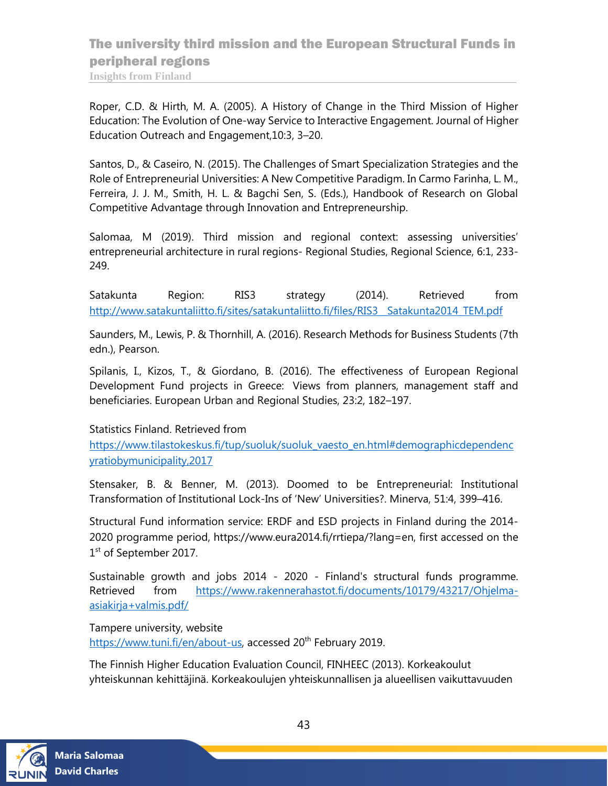Roper, C.D. & Hirth, M. A. (2005). A History of Change in the Third Mission of Higher Education: The Evolution of One-way Service to Interactive Engagement. Journal of Higher Education Outreach and Engagement,10:3, 3–20.

Santos, D., & Caseiro, N. (2015). The Challenges of Smart Specialization Strategies and the Role of Entrepreneurial Universities: A New Competitive Paradigm. In Carmo Farinha, L. M., Ferreira, J. J. M., Smith, H. L. & Bagchi Sen, S. (Eds.), Handbook of Research on Global Competitive Advantage through Innovation and Entrepreneurship.

Salomaa, M (2019). Third mission and regional context: assessing universities' entrepreneurial architecture in rural regions- Regional Studies, Regional Science, 6:1, 233- 249.

Satakunta Region: RIS3 strategy (2014). Retrieved from [http://www.satakuntaliitto.fi/sites/satakuntaliitto.fi/files/RIS3\\_\\_Satakunta2014\\_TEM.pdf](http://www.satakuntaliitto.fi/sites/satakuntaliitto.fi/files/RIS3__Satakunta2014_TEM.pdf)

Saunders, M., Lewis, P. & Thornhill, A. (2016). Research Methods for Business Students (7th edn.), Pearson.

Spilanis, I., Kizos, T., & Giordano, B. (2016). The effectiveness of European Regional Development Fund projects in Greece: Views from planners, management staff and beneficiaries. European Urban and Regional Studies, 23:2, 182–197.

#### Statistics Finland. Retrieved from

[https://www.tilastokeskus.fi/tup/suoluk/suoluk\\_vaesto\\_en.html#demographicdependenc](https://www.tilastokeskus.fi/tup/suoluk/suoluk_vaesto_en.html#demographicdependencyratiobymunicipality,2017) [yratiobymunicipality,2017](https://www.tilastokeskus.fi/tup/suoluk/suoluk_vaesto_en.html#demographicdependencyratiobymunicipality,2017)

Stensaker, B. & Benner, M. (2013). Doomed to be Entrepreneurial: Institutional Transformation of Institutional Lock-Ins of 'New' Universities?. Minerva, 51:4, 399–416.

Structural Fund information service: ERDF and ESD projects in Finland during the 2014- 2020 programme period, https://www.eura2014.fi/rrtiepa/?lang=en, first accessed on the 1<sup>st</sup> of September 2017.

Sustainable growth and jobs 2014 - 2020 - Finland's structural funds programme. Retrieved from [https://www.rakennerahastot.fi/documents/10179/43217/Ohjelma](https://www.rakennerahastot.fi/documents/10179/43217/Ohjelma-asiakirja+valmis.pdf/)[asiakirja+valmis.pdf/](https://www.rakennerahastot.fi/documents/10179/43217/Ohjelma-asiakirja+valmis.pdf/)

Tampere university, website https://www.tuni.fi/en/about-us, accessed 20<sup>th</sup> February 2019.

The Finnish Higher Education Evaluation Council, FINHEEC (2013). Korkeakoulut yhteiskunnan kehittäjinä. Korkeakoulujen yhteiskunnallisen ja alueellisen vaikuttavuuden